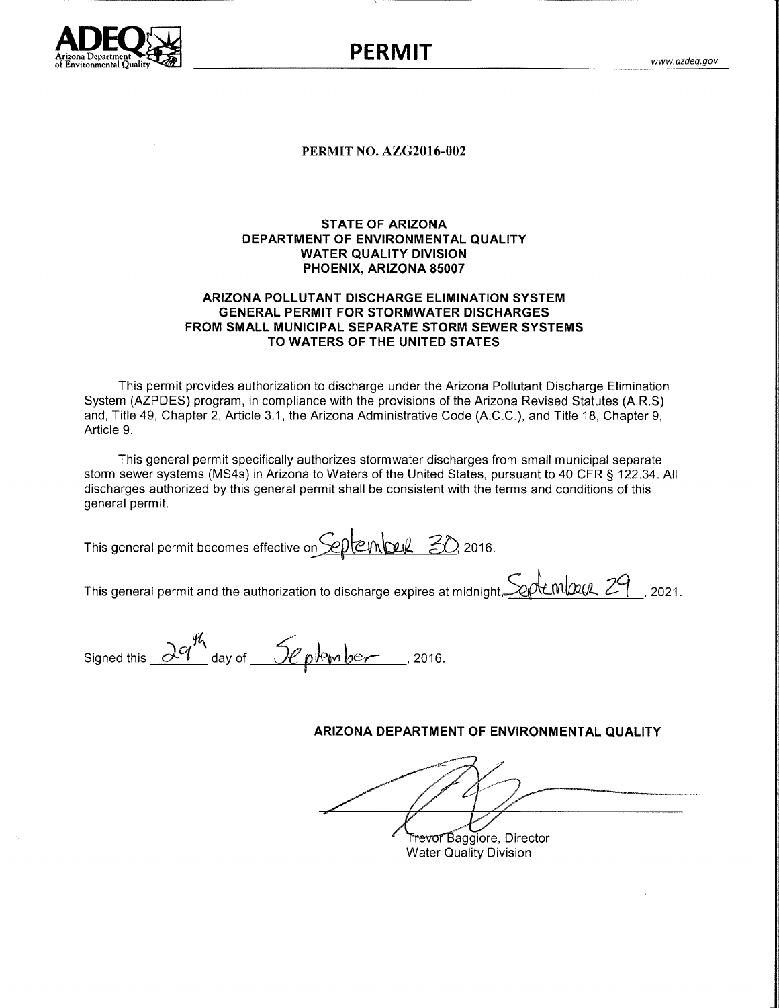

**PERMIT** 

#### **PERMIT NO. AZG2016-002**

## **STATE OF ARIZONA** DEPARTMENT OF ENVIRONMENTAL QUALITY **WATER QUALITY DIVISION** PHOENIX, ARIZONA 85007

#### ARIZONA POLLUTANT DISCHARGE ELIMINATION SYSTEM **GENERAL PERMIT FOR STORMWATER DISCHARGES** FROM SMALL MUNICIPAL SEPARATE STORM SEWER SYSTEMS TO WATERS OF THE UNITED STATES

This permit provides authorization to discharge under the Arizona Pollutant Discharge Elimination System (AZPDES) program, in compliance with the provisions of the Arizona Revised Statutes (A.R.S) and, Title 49, Chapter 2, Article 3.1, the Arizona Administrative Code (A.C.C.), and Title 18, Chapter 9, Article 9.

This general permit specifically authorizes stormwater discharges from small municipal separate storm sewer systems (MS4s) in Arizona to Waters of the United States, pursuant to 40 CFR § 122.34. All discharges authorized by this general permit shall be consistent with the terms and conditions of this general permit.

This general permit becomes effective on  $\mathcal{L}$   $\mathcal{L}$   $\mathcal{L}$   $\mathcal{L}$   $\mathcal{L}$   $\mathcal{L}$  2016.

This general permit and the authorization to discharge expires at midnight  $\mathcal{L}$   $\mathcal{L}$   $\mathcal{L}$   $\mathcal{L}$   $\mathcal{L}$   $\mathcal{L}$   $\mathcal{L}$   $\mathcal{L}$   $\mathcal{L}$   $\mathcal{L}$   $\mathcal{L}$   $\mathcal{L}$   $\mathcal{L}$   $\mathcal{L}$   $\mathcal{L}$   $\mathcal{L}$   $\$ 

Signed this  $\frac{\partial q^{\frac{1}{h}}}{\partial q}$  day of  $\frac{\partial q}{\partial q}$  plember, 2016.

# ARIZONA DEPARTMENT OF ENVIRONMENTAL QUALITY

Trevor Baggiore, Director

**Water Quality Division**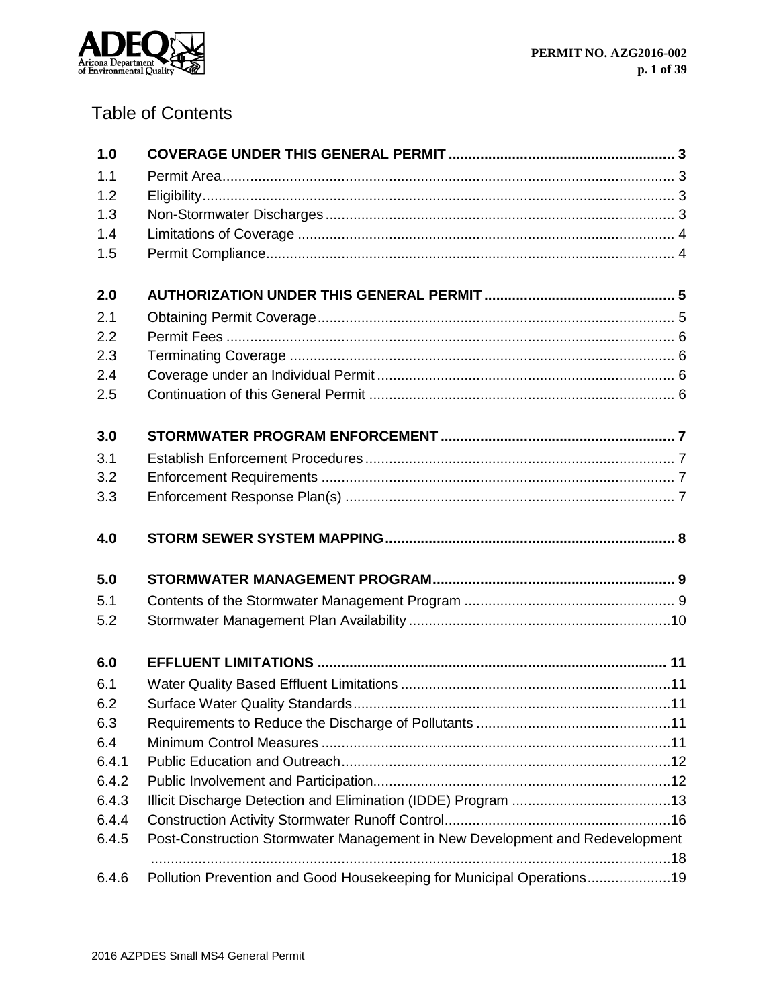

# Table of Contents

| 1.0   |                                                                              |
|-------|------------------------------------------------------------------------------|
| 1.1   |                                                                              |
| 1.2   |                                                                              |
| 1.3   |                                                                              |
| 1.4   |                                                                              |
| 1.5   |                                                                              |
| 2.0   |                                                                              |
| 2.1   |                                                                              |
| 2.2   |                                                                              |
| 2.3   |                                                                              |
| 2.4   |                                                                              |
| 2.5   |                                                                              |
| 3.0   |                                                                              |
| 3.1   |                                                                              |
| 3.2   |                                                                              |
| 3.3   |                                                                              |
|       |                                                                              |
| 4.0   |                                                                              |
| 5.0   |                                                                              |
| 5.1   |                                                                              |
| 5.2   |                                                                              |
| 6.0   |                                                                              |
| 6.1   |                                                                              |
| 6.2   |                                                                              |
| 6.3   |                                                                              |
| 6.4   |                                                                              |
| 6.4.1 |                                                                              |
| 6.4.2 |                                                                              |
| 6.4.3 |                                                                              |
| 6.4.4 |                                                                              |
| 6.4.5 | Post-Construction Stormwater Management in New Development and Redevelopment |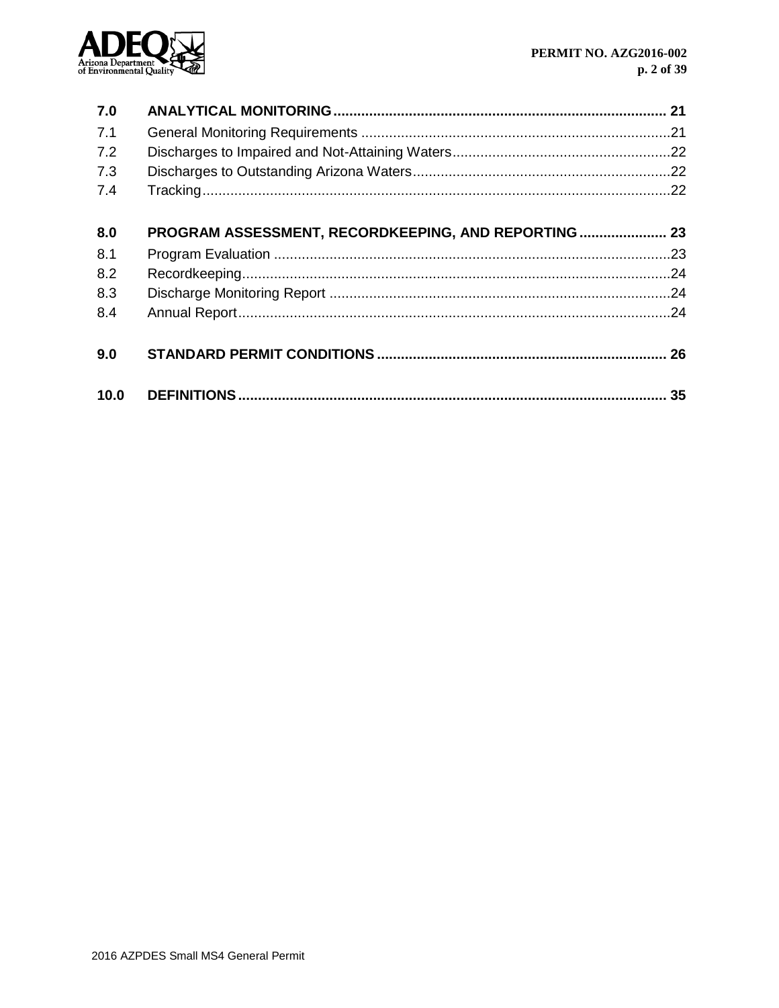

| 7.0        |                                                      |    |
|------------|------------------------------------------------------|----|
| 7.1        |                                                      |    |
| 7.2        |                                                      |    |
| 7.3        |                                                      |    |
| 7.4        |                                                      |    |
| 8.0        | PROGRAM ASSESSMENT, RECORDKEEPING, AND REPORTING  23 |    |
| 8.1        |                                                      |    |
| 8.2<br>8.3 |                                                      |    |
|            |                                                      |    |
| 9.0        |                                                      |    |
| 10.0       |                                                      | 35 |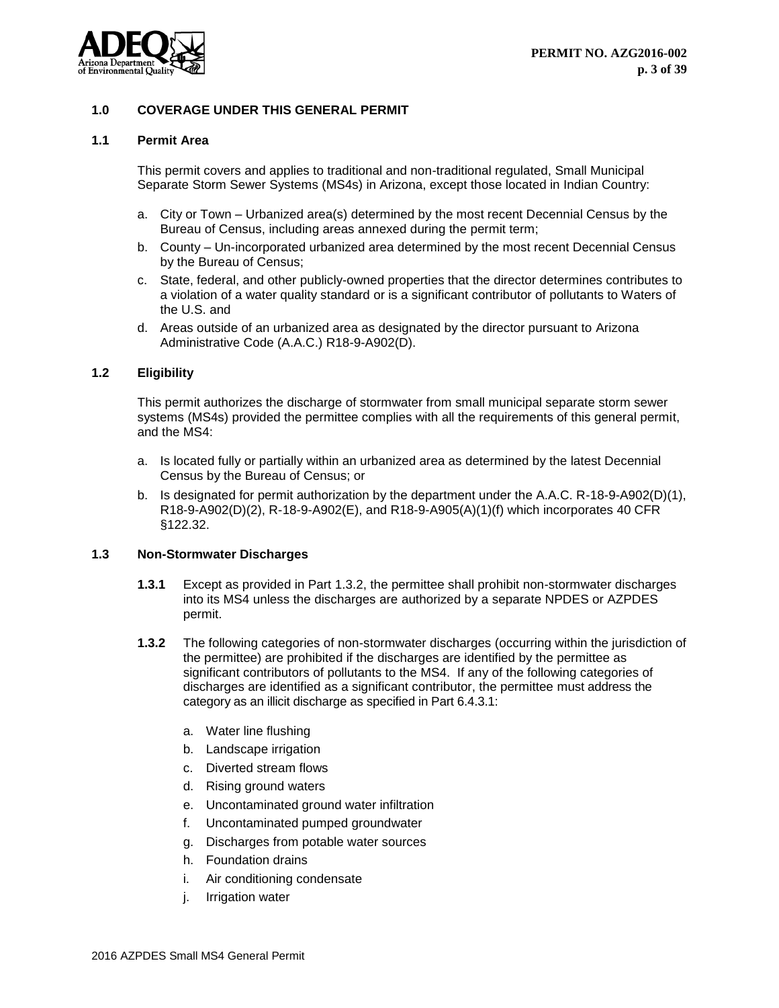

## <span id="page-3-0"></span>**1.0 COVERAGE UNDER THIS GENERAL PERMIT**

#### <span id="page-3-1"></span>**1.1 Permit Area**

This permit covers and applies to traditional and non-traditional regulated, Small Municipal Separate Storm Sewer Systems (MS4s) in Arizona, except those located in Indian Country:

- a. City or Town Urbanized area(s) determined by the most recent Decennial Census by the Bureau of Census, including areas annexed during the permit term;
- b. County Un-incorporated urbanized area determined by the most recent Decennial Census by the Bureau of Census;
- c. State, federal, and other publicly-owned properties that the director determines contributes to a violation of a water quality standard or is a significant contributor of pollutants to Waters of the U.S. and
- d. Areas outside of an urbanized area as designated by the director pursuant to Arizona Administrative Code (A.A.C.) R18-9-A902(D).

#### <span id="page-3-2"></span>**1.2 Eligibility**

This permit authorizes the discharge of stormwater from small municipal separate storm sewer systems (MS4s) provided the permittee complies with all the requirements of this general permit, and the MS4:

- a. Is located fully or partially within an urbanized area as determined by the latest Decennial Census by the Bureau of Census; or
- b. Is designated for permit authorization by the department under the A.A.C. R-18-9-A902(D)(1), R18-9-A902(D)(2), R-18-9-A902(E), and R18-9-A905(A)(1)(f) which incorporates 40 CFR §122.32.

## <span id="page-3-3"></span>**1.3 Non-Stormwater Discharges**

- **1.3.1** Except as provided in Part 1.3.2, the permittee shall prohibit non-stormwater discharges into its MS4 unless the discharges are authorized by a separate NPDES or AZPDES permit.
- **1.3.2** The following categories of non-stormwater discharges (occurring within the jurisdiction of the permittee) are prohibited if the discharges are identified by the permittee as significant contributors of pollutants to the MS4. If any of the following categories of discharges are identified as a significant contributor, the permittee must address the category as an illicit discharge as specified in Part 6.4.3.1:
	- a. Water line flushing
	- b. Landscape irrigation
	- c. Diverted stream flows
	- d. Rising ground waters
	- e. Uncontaminated ground water infiltration
	- f. Uncontaminated pumped groundwater
	- g. Discharges from potable water sources
	- h. Foundation drains
	- i. Air conditioning condensate
	- j. Irrigation water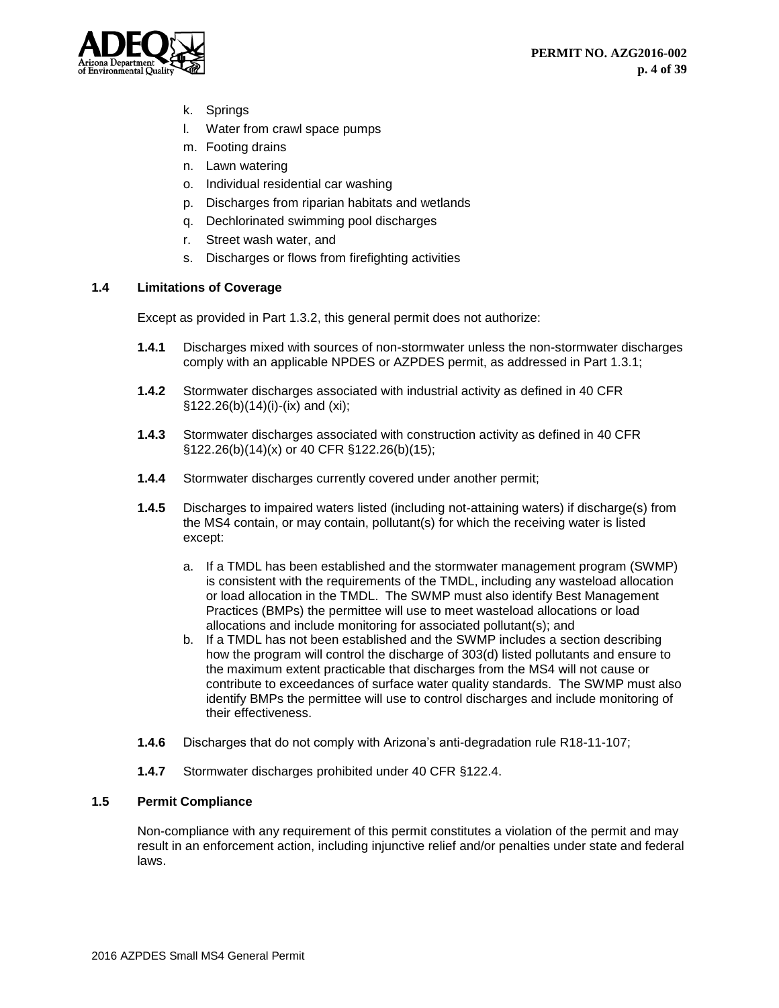

- k. Springs
- l. Water from crawl space pumps
- m. Footing drains
- n. Lawn watering
- o. Individual residential car washing
- p. Discharges from riparian habitats and wetlands
- q. Dechlorinated swimming pool discharges
- r. Street wash water, and
- s. Discharges or flows from firefighting activities

## <span id="page-4-0"></span>**1.4 Limitations of Coverage**

Except as provided in Part 1.3.2, this general permit does not authorize:

- **1.4.1** Discharges mixed with sources of non-stormwater unless the non-stormwater discharges comply with an applicable NPDES or AZPDES permit, as addressed in Part 1.3.1;
- **1.4.2** Stormwater discharges associated with industrial activity as defined in 40 CFR §122.26(b)(14)(i)-(ix) and (xi);
- **1.4.3** Stormwater discharges associated with construction activity as defined in 40 CFR §122.26(b)(14)(x) or 40 CFR §122.26(b)(15);
- **1.4.4** Stormwater discharges currently covered under another permit;
- **1.4.5** Discharges to impaired waters listed (including not-attaining waters) if discharge(s) from the MS4 contain, or may contain, pollutant(s) for which the receiving water is listed except:
	- a. If a TMDL has been established and the stormwater management program (SWMP) is consistent with the requirements of the TMDL, including any wasteload allocation or load allocation in the TMDL. The SWMP must also identify Best Management Practices (BMPs) the permittee will use to meet wasteload allocations or load allocations and include monitoring for associated pollutant(s); and
	- b. If a TMDL has not been established and the SWMP includes a section describing how the program will control the discharge of 303(d) listed pollutants and ensure to the maximum extent practicable that discharges from the MS4 will not cause or contribute to exceedances of surface water quality standards. The SWMP must also identify BMPs the permittee will use to control discharges and include monitoring of their effectiveness.
- **1.4.6** Discharges that do not comply with Arizona's anti-degradation rule R18-11-107;
- **1.4.7** Stormwater discharges prohibited under 40 CFR §122.4.

## <span id="page-4-1"></span>**1.5 Permit Compliance**

Non-compliance with any requirement of this permit constitutes a violation of the permit and may result in an enforcement action, including injunctive relief and/or penalties under state and federal laws.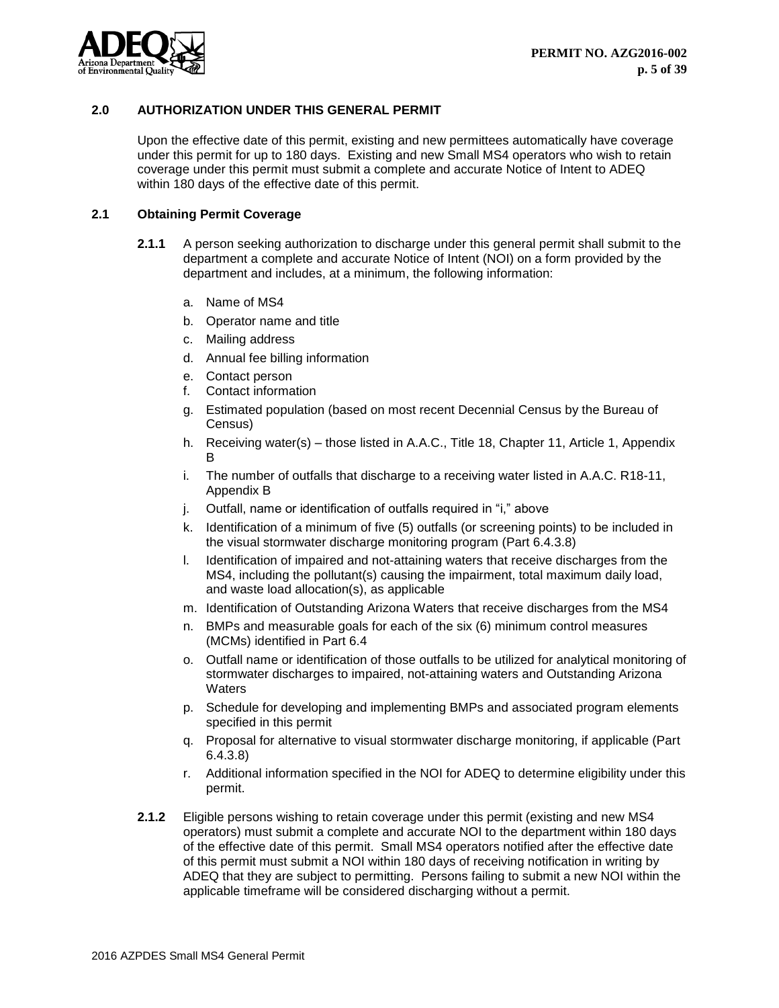

## <span id="page-5-0"></span>**2.0 AUTHORIZATION UNDER THIS GENERAL PERMIT**

Upon the effective date of this permit, existing and new permittees automatically have coverage under this permit for up to 180 days. Existing and new Small MS4 operators who wish to retain coverage under this permit must submit a complete and accurate Notice of Intent to ADEQ within 180 days of the effective date of this permit.

# <span id="page-5-1"></span>**2.1 Obtaining Permit Coverage**

- **2.1.1** A person seeking authorization to discharge under this general permit shall submit to the department a complete and accurate Notice of Intent (NOI) on a form provided by the department and includes, at a minimum, the following information:
	- a. Name of MS4
	- b. Operator name and title
	- c. Mailing address
	- d. Annual fee billing information
	- e. Contact person
	- f. Contact information
	- g. Estimated population (based on most recent Decennial Census by the Bureau of Census)
	- h. Receiving water(s) those listed in A.A.C., Title 18, Chapter 11, Article 1, Appendix B
	- i. The number of outfalls that discharge to a receiving water listed in A.A.C. R18-11, Appendix B
	- j. Outfall, name or identification of outfalls required in "i," above
	- k. Identification of a minimum of five (5) outfalls (or screening points) to be included in the visual stormwater discharge monitoring program (Part 6.4.3.8)
	- l. Identification of impaired and not-attaining waters that receive discharges from the MS4, including the pollutant(s) causing the impairment, total maximum daily load, and waste load allocation(s), as applicable
	- m. Identification of Outstanding Arizona Waters that receive discharges from the MS4
	- n. BMPs and measurable goals for each of the six (6) minimum control measures (MCMs) identified in Part 6.4
	- o. Outfall name or identification of those outfalls to be utilized for analytical monitoring of stormwater discharges to impaired, not-attaining waters and Outstanding Arizona **Waters**
	- p. Schedule for developing and implementing BMPs and associated program elements specified in this permit
	- q. Proposal for alternative to visual stormwater discharge monitoring, if applicable (Part 6.4.3.8)
	- r. Additional information specified in the NOI for ADEQ to determine eligibility under this permit.
- **2.1.2** Eligible persons wishing to retain coverage under this permit (existing and new MS4 operators) must submit a complete and accurate NOI to the department within 180 days of the effective date of this permit. Small MS4 operators notified after the effective date of this permit must submit a NOI within 180 days of receiving notification in writing by ADEQ that they are subject to permitting. Persons failing to submit a new NOI within the applicable timeframe will be considered discharging without a permit.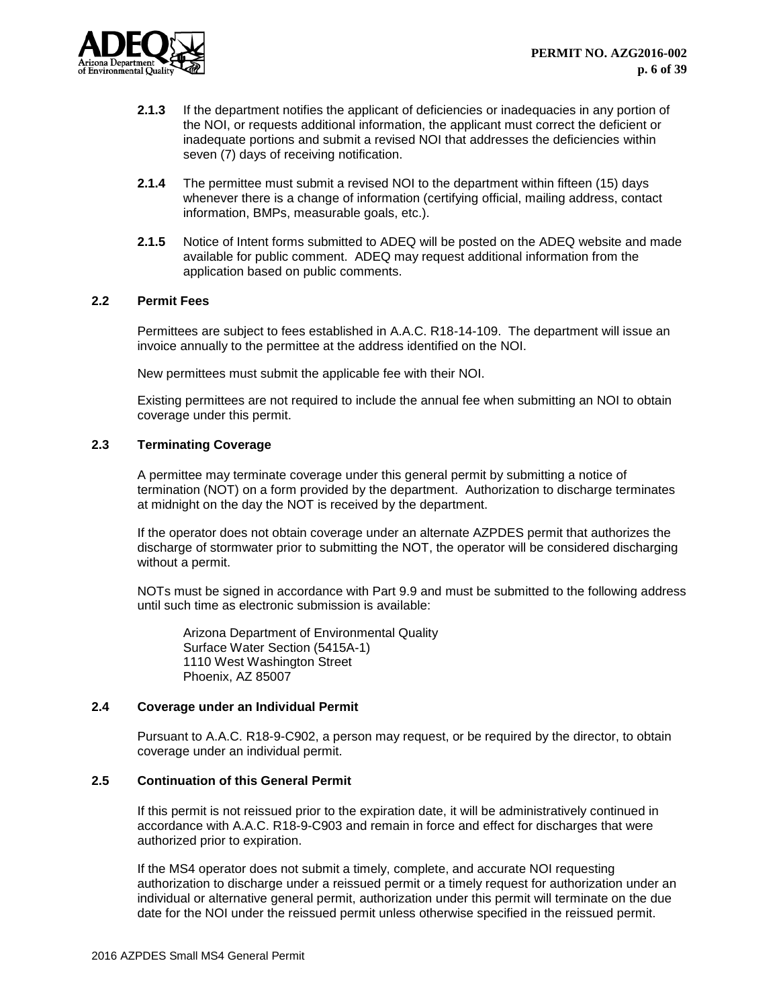

- **2.1.3** If the department notifies the applicant of deficiencies or inadequacies in any portion of the NOI, or requests additional information, the applicant must correct the deficient or inadequate portions and submit a revised NOI that addresses the deficiencies within seven (7) days of receiving notification.
- **2.1.4** The permittee must submit a revised NOI to the department within fifteen (15) days whenever there is a change of information (certifying official, mailing address, contact information, BMPs, measurable goals, etc.).
- **2.1.5** Notice of Intent forms submitted to ADEQ will be posted on the ADEQ website and made available for public comment. ADEQ may request additional information from the application based on public comments.

## <span id="page-6-0"></span>**2.2 Permit Fees**

Permittees are subject to fees established in A.A.C. R18-14-109. The department will issue an invoice annually to the permittee at the address identified on the NOI.

New permittees must submit the applicable fee with their NOI.

Existing permittees are not required to include the annual fee when submitting an NOI to obtain coverage under this permit.

## <span id="page-6-1"></span>**2.3 Terminating Coverage**

A permittee may terminate coverage under this general permit by submitting a notice of termination (NOT) on a form provided by the department. Authorization to discharge terminates at midnight on the day the NOT is received by the department.

If the operator does not obtain coverage under an alternate AZPDES permit that authorizes the discharge of stormwater prior to submitting the NOT, the operator will be considered discharging without a permit.

NOTs must be signed in accordance with Part 9.9 and must be submitted to the following address until such time as electronic submission is available:

Arizona Department of Environmental Quality Surface Water Section (5415A-1) 1110 West Washington Street Phoenix, AZ 85007

# <span id="page-6-2"></span>**2.4 Coverage under an Individual Permit**

Pursuant to A.A.C. R18-9-C902, a person may request, or be required by the director, to obtain coverage under an individual permit.

## <span id="page-6-3"></span>**2.5 Continuation of this General Permit**

If this permit is not reissued prior to the expiration date, it will be administratively continued in accordance with A.A.C. R18-9-C903 and remain in force and effect for discharges that were authorized prior to expiration.

If the MS4 operator does not submit a timely, complete, and accurate NOI requesting authorization to discharge under a reissued permit or a timely request for authorization under an individual or alternative general permit, authorization under this permit will terminate on the due date for the NOI under the reissued permit unless otherwise specified in the reissued permit.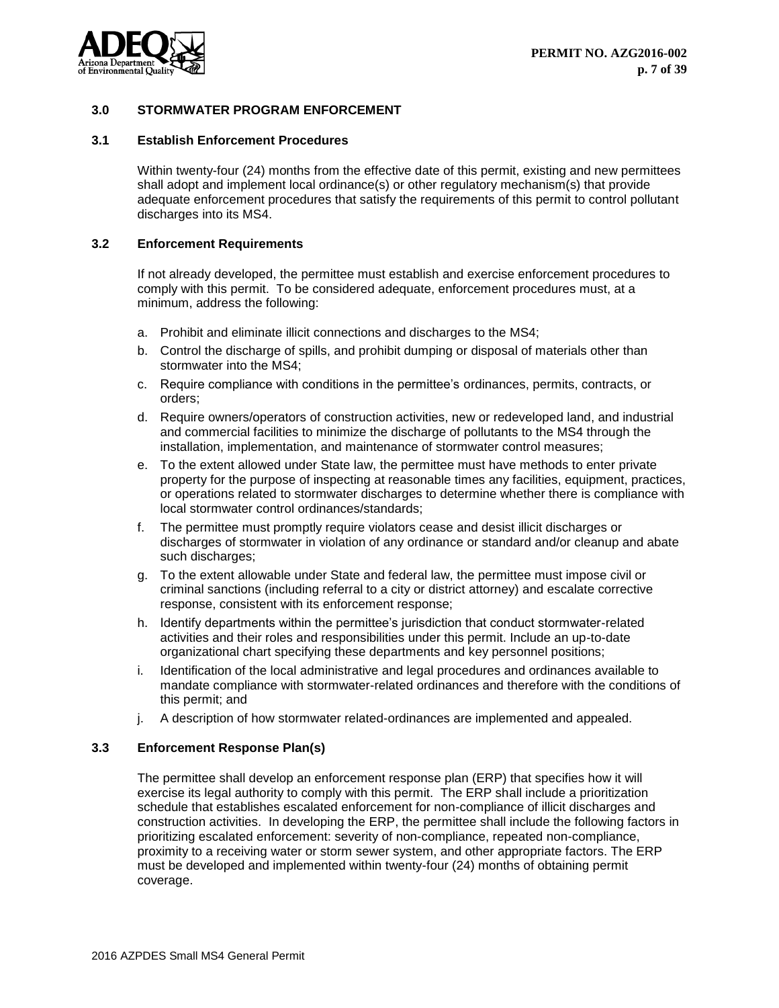

# <span id="page-7-0"></span>**3.0 STORMWATER PROGRAM ENFORCEMENT**

## <span id="page-7-1"></span>**3.1 Establish Enforcement Procedures**

Within twenty-four (24) months from the effective date of this permit, existing and new permittees shall adopt and implement local ordinance(s) or other regulatory mechanism(s) that provide adequate enforcement procedures that satisfy the requirements of this permit to control pollutant discharges into its MS4.

#### <span id="page-7-2"></span>**3.2 Enforcement Requirements**

If not already developed, the permittee must establish and exercise enforcement procedures to comply with this permit. To be considered adequate, enforcement procedures must, at a minimum, address the following:

- a. Prohibit and eliminate illicit connections and discharges to the MS4;
- b. Control the discharge of spills, and prohibit dumping or disposal of materials other than stormwater into the MS4;
- c. Require compliance with conditions in the permittee's ordinances, permits, contracts, or orders;
- d. Require owners/operators of construction activities, new or redeveloped land, and industrial and commercial facilities to minimize the discharge of pollutants to the MS4 through the installation, implementation, and maintenance of stormwater control measures;
- e. To the extent allowed under State law, the permittee must have methods to enter private property for the purpose of inspecting at reasonable times any facilities, equipment, practices, or operations related to stormwater discharges to determine whether there is compliance with local stormwater control ordinances/standards;
- f. The permittee must promptly require violators cease and desist illicit discharges or discharges of stormwater in violation of any ordinance or standard and/or cleanup and abate such discharges;
- g. To the extent allowable under State and federal law, the permittee must impose civil or criminal sanctions (including referral to a city or district attorney) and escalate corrective response, consistent with its enforcement response;
- h. Identify departments within the permittee's jurisdiction that conduct stormwater-related activities and their roles and responsibilities under this permit. Include an up-to-date organizational chart specifying these departments and key personnel positions;
- i. Identification of the local administrative and legal procedures and ordinances available to mandate compliance with stormwater-related ordinances and therefore with the conditions of this permit; and
- j. A description of how stormwater related-ordinances are implemented and appealed.

## <span id="page-7-3"></span>**3.3 Enforcement Response Plan(s)**

The permittee shall develop an enforcement response plan (ERP) that specifies how it will exercise its legal authority to comply with this permit. The ERP shall include a prioritization schedule that establishes escalated enforcement for non-compliance of illicit discharges and construction activities. In developing the ERP, the permittee shall include the following factors in prioritizing escalated enforcement: severity of non-compliance, repeated non-compliance, proximity to a receiving water or storm sewer system, and other appropriate factors. The ERP must be developed and implemented within twenty-four (24) months of obtaining permit coverage.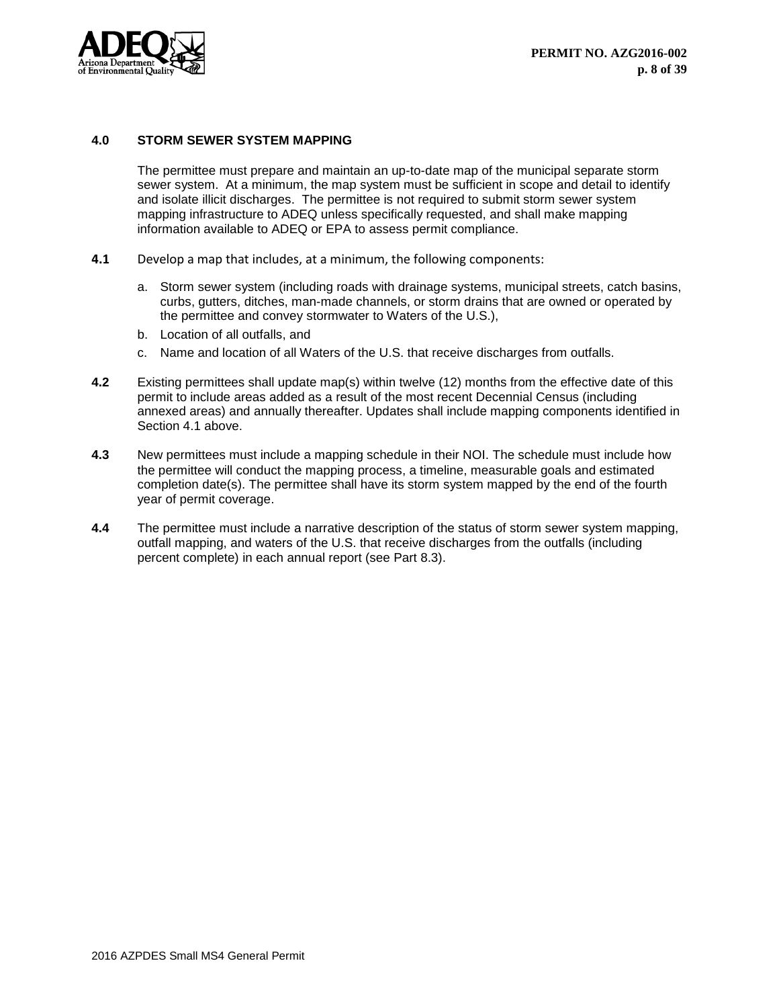

# <span id="page-8-0"></span>**4.0 STORM SEWER SYSTEM MAPPING**

The permittee must prepare and maintain an up-to-date map of the municipal separate storm sewer system. At a minimum, the map system must be sufficient in scope and detail to identify and isolate illicit discharges. The permittee is not required to submit storm sewer system mapping infrastructure to ADEQ unless specifically requested, and shall make mapping information available to ADEQ or EPA to assess permit compliance.

- **4.1** Develop a map that includes, at a minimum, the following components:
	- a. Storm sewer system (including roads with drainage systems, municipal streets, catch basins, curbs, gutters, ditches, man-made channels, or storm drains that are owned or operated by the permittee and convey stormwater to Waters of the U.S.),
	- b. Location of all outfalls, and
	- c. Name and location of all Waters of the U.S. that receive discharges from outfalls.
- **4.2** Existing permittees shall update map(s) within twelve (12) months from the effective date of this permit to include areas added as a result of the most recent Decennial Census (including annexed areas) and annually thereafter. Updates shall include mapping components identified in Section 4.1 above.
- **4.3** New permittees must include a mapping schedule in their NOI. The schedule must include how the permittee will conduct the mapping process, a timeline, measurable goals and estimated completion date(s). The permittee shall have its storm system mapped by the end of the fourth year of permit coverage.
- **4.4** The permittee must include a narrative description of the status of storm sewer system mapping, outfall mapping, and waters of the U.S. that receive discharges from the outfalls (including percent complete) in each annual report (see Part 8.3).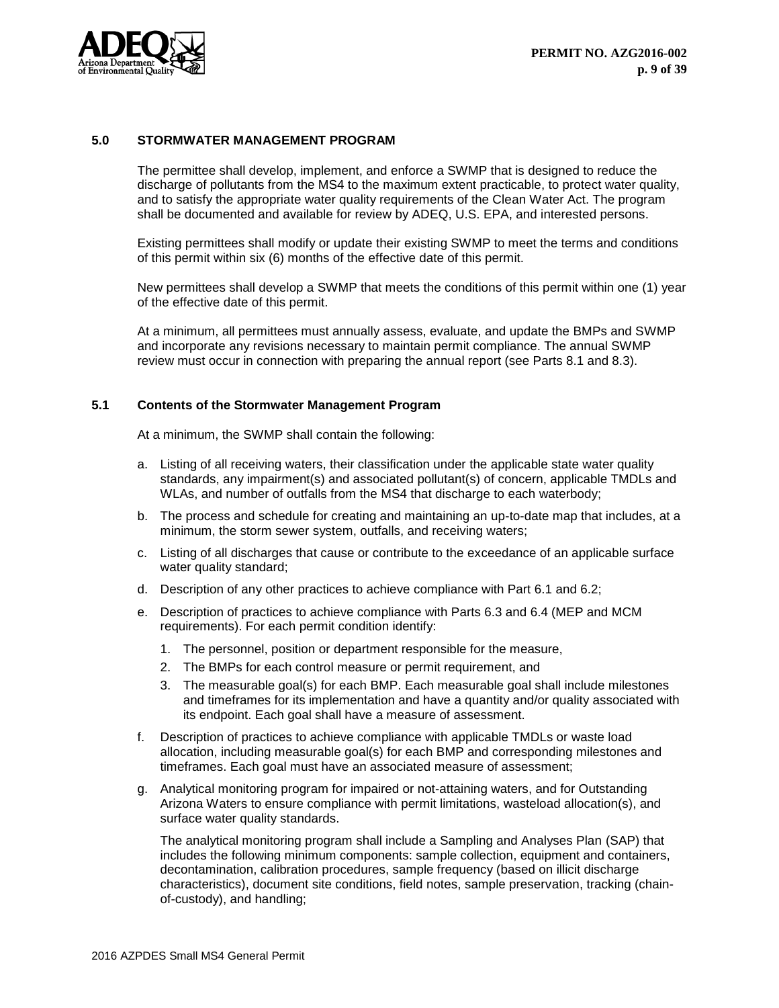

## <span id="page-9-0"></span>**5.0 STORMWATER MANAGEMENT PROGRAM**

The permittee shall develop, implement, and enforce a SWMP that is designed to reduce the discharge of pollutants from the MS4 to the maximum extent practicable, to protect water quality, and to satisfy the appropriate water quality requirements of the Clean Water Act. The program shall be documented and available for review by ADEQ, U.S. EPA, and interested persons.

Existing permittees shall modify or update their existing SWMP to meet the terms and conditions of this permit within six (6) months of the effective date of this permit.

New permittees shall develop a SWMP that meets the conditions of this permit within one (1) year of the effective date of this permit.

At a minimum, all permittees must annually assess, evaluate, and update the BMPs and SWMP and incorporate any revisions necessary to maintain permit compliance. The annual SWMP review must occur in connection with preparing the annual report (see Parts 8.1 and 8.3).

## <span id="page-9-1"></span>**5.1 Contents of the Stormwater Management Program**

At a minimum, the SWMP shall contain the following:

- a. Listing of all receiving waters, their classification under the applicable state water quality standards, any impairment(s) and associated pollutant(s) of concern, applicable TMDLs and WLAs, and number of outfalls from the MS4 that discharge to each waterbody;
- b. The process and schedule for creating and maintaining an up-to-date map that includes, at a minimum, the storm sewer system, outfalls, and receiving waters;
- c. Listing of all discharges that cause or contribute to the exceedance of an applicable surface water quality standard;
- d. Description of any other practices to achieve compliance with Part 6.1 and 6.2;
- e. Description of practices to achieve compliance with Parts 6.3 and 6.4 (MEP and MCM requirements). For each permit condition identify:
	- 1. The personnel, position or department responsible for the measure,
	- 2. The BMPs for each control measure or permit requirement, and
	- 3. The measurable goal(s) for each BMP. Each measurable goal shall include milestones and timeframes for its implementation and have a quantity and/or quality associated with its endpoint. Each goal shall have a measure of assessment.
- f. Description of practices to achieve compliance with applicable TMDLs or waste load allocation, including measurable goal(s) for each BMP and corresponding milestones and timeframes. Each goal must have an associated measure of assessment;
- g. Analytical monitoring program for impaired or not-attaining waters, and for Outstanding Arizona Waters to ensure compliance with permit limitations, wasteload allocation(s), and surface water quality standards.

The analytical monitoring program shall include a Sampling and Analyses Plan (SAP) that includes the following minimum components: sample collection, equipment and containers, decontamination, calibration procedures, sample frequency (based on illicit discharge characteristics), document site conditions, field notes, sample preservation, tracking (chainof-custody), and handling;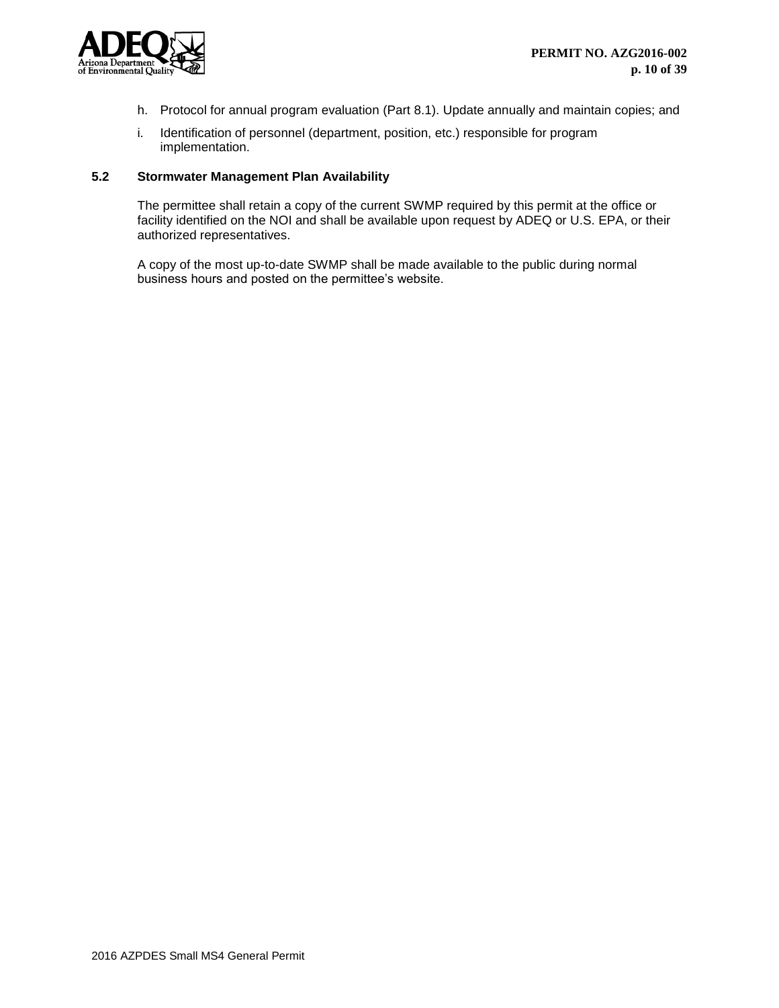

- h. Protocol for annual program evaluation (Part 8.1). Update annually and maintain copies; and
- i. Identification of personnel (department, position, etc.) responsible for program implementation.

#### <span id="page-10-0"></span>**5.2 Stormwater Management Plan Availability**

The permittee shall retain a copy of the current SWMP required by this permit at the office or facility identified on the NOI and shall be available upon request by ADEQ or U.S. EPA, or their authorized representatives.

A copy of the most up-to-date SWMP shall be made available to the public during normal business hours and posted on the permittee's website.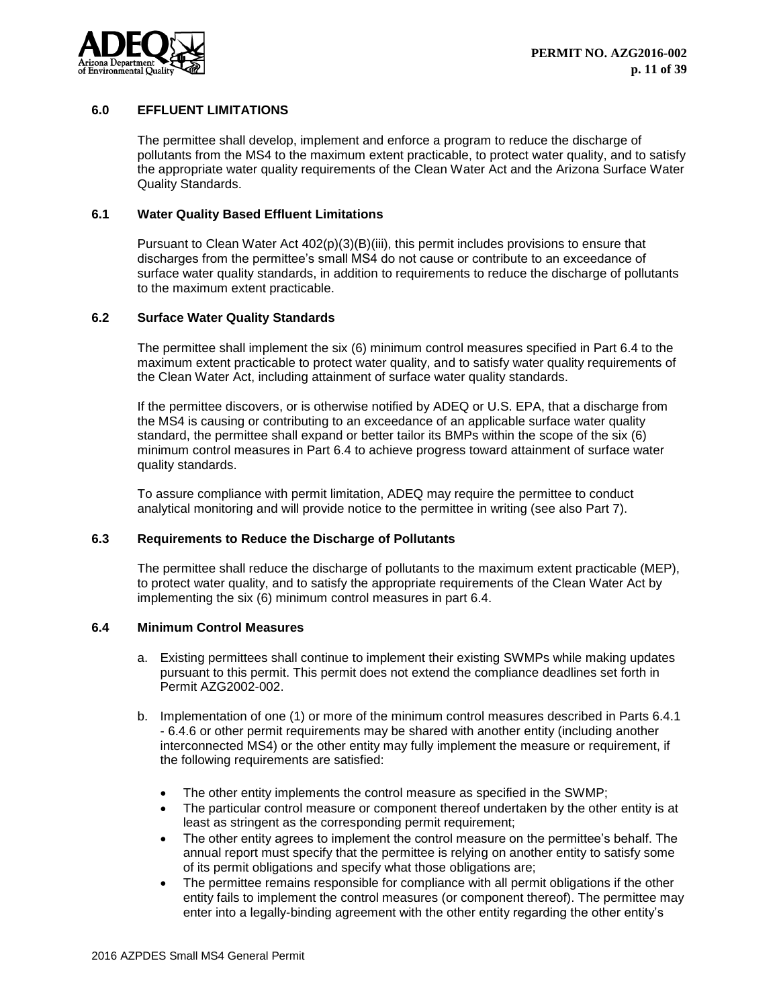

## <span id="page-11-0"></span>**6.0 EFFLUENT LIMITATIONS**

The permittee shall develop, implement and enforce a program to reduce the discharge of pollutants from the MS4 to the maximum extent practicable, to protect water quality, and to satisfy the appropriate water quality requirements of the Clean Water Act and the Arizona Surface Water Quality Standards.

## <span id="page-11-1"></span>**6.1 Water Quality Based Effluent Limitations**

Pursuant to Clean Water Act 402(p)(3)(B)(iii), this permit includes provisions to ensure that discharges from the permittee's small MS4 do not cause or contribute to an exceedance of surface water quality standards, in addition to requirements to reduce the discharge of pollutants to the maximum extent practicable.

## <span id="page-11-2"></span>**6.2 Surface Water Quality Standards**

The permittee shall implement the six (6) minimum control measures specified in Part 6.4 to the maximum extent practicable to protect water quality, and to satisfy water quality requirements of the Clean Water Act, including attainment of surface water quality standards.

If the permittee discovers, or is otherwise notified by ADEQ or U.S. EPA, that a discharge from the MS4 is causing or contributing to an exceedance of an applicable surface water quality standard, the permittee shall expand or better tailor its BMPs within the scope of the six (6) minimum control measures in Part 6.4 to achieve progress toward attainment of surface water quality standards.

To assure compliance with permit limitation, ADEQ may require the permittee to conduct analytical monitoring and will provide notice to the permittee in writing (see also Part 7).

## <span id="page-11-3"></span>**6.3 Requirements to Reduce the Discharge of Pollutants**

The permittee shall reduce the discharge of pollutants to the maximum extent practicable (MEP), to protect water quality, and to satisfy the appropriate requirements of the Clean Water Act by implementing the six (6) minimum control measures in part 6.4.

## <span id="page-11-4"></span>**6.4 Minimum Control Measures**

- a. Existing permittees shall continue to implement their existing SWMPs while making updates pursuant to this permit. This permit does not extend the compliance deadlines set forth in Permit AZG2002-002.
- b. Implementation of one (1) or more of the minimum control measures described in Parts 6.4.1 - 6.4.6 or other permit requirements may be shared with another entity (including another interconnected MS4) or the other entity may fully implement the measure or requirement, if the following requirements are satisfied:
	- The other entity implements the control measure as specified in the SWMP;
	- The particular control measure or component thereof undertaken by the other entity is at least as stringent as the corresponding permit requirement;
	- The other entity agrees to implement the control measure on the permittee's behalf. The annual report must specify that the permittee is relying on another entity to satisfy some of its permit obligations and specify what those obligations are;
	- The permittee remains responsible for compliance with all permit obligations if the other entity fails to implement the control measures (or component thereof). The permittee may enter into a legally-binding agreement with the other entity regarding the other entity's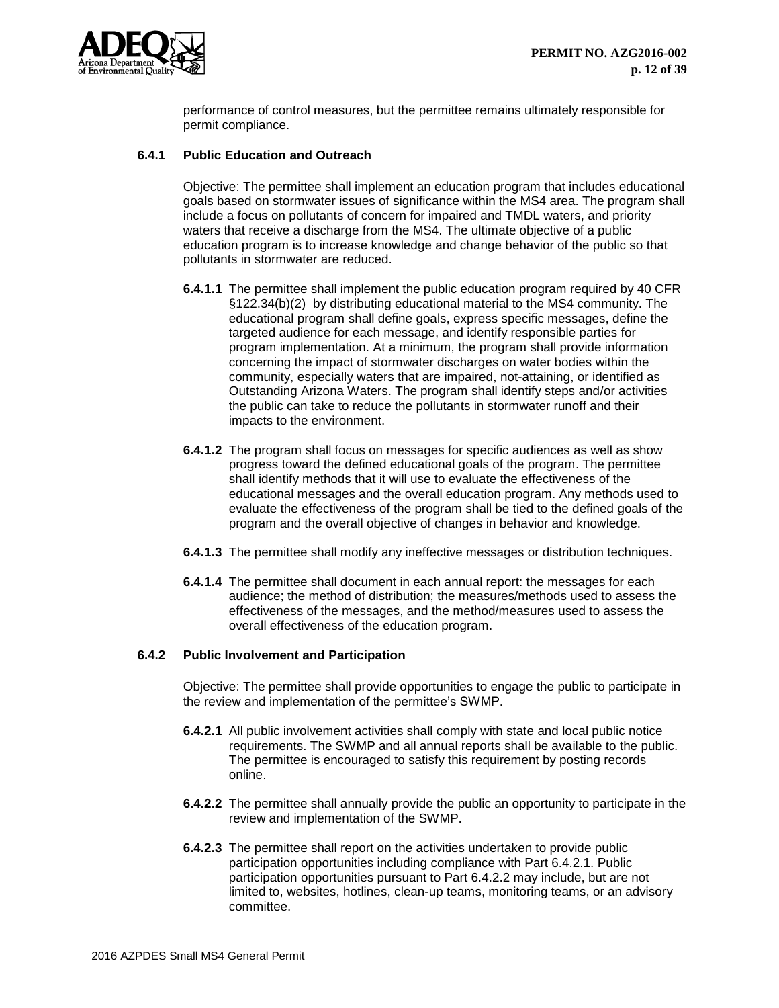

performance of control measures, but the permittee remains ultimately responsible for permit compliance.

## <span id="page-12-0"></span>**6.4.1 Public Education and Outreach**

Objective: The permittee shall implement an education program that includes educational goals based on stormwater issues of significance within the MS4 area. The program shall include a focus on pollutants of concern for impaired and TMDL waters, and priority waters that receive a discharge from the MS4. The ultimate objective of a public education program is to increase knowledge and change behavior of the public so that pollutants in stormwater are reduced.

- **6.4.1.1** The permittee shall implement the public education program required by 40 CFR §122.34(b)(2) by distributing educational material to the MS4 community. The educational program shall define goals, express specific messages, define the targeted audience for each message, and identify responsible parties for program implementation. At a minimum, the program shall provide information concerning the impact of stormwater discharges on water bodies within the community, especially waters that are impaired, not-attaining, or identified as Outstanding Arizona Waters. The program shall identify steps and/or activities the public can take to reduce the pollutants in stormwater runoff and their impacts to the environment.
- **6.4.1.2** The program shall focus on messages for specific audiences as well as show progress toward the defined educational goals of the program. The permittee shall identify methods that it will use to evaluate the effectiveness of the educational messages and the overall education program. Any methods used to evaluate the effectiveness of the program shall be tied to the defined goals of the program and the overall objective of changes in behavior and knowledge.
- **6.4.1.3** The permittee shall modify any ineffective messages or distribution techniques.
- **6.4.1.4** The permittee shall document in each annual report: the messages for each audience; the method of distribution; the measures/methods used to assess the effectiveness of the messages, and the method/measures used to assess the overall effectiveness of the education program.

## <span id="page-12-1"></span>**6.4.2 Public Involvement and Participation**

Objective: The permittee shall provide opportunities to engage the public to participate in the review and implementation of the permittee's SWMP.

- **6.4.2.1** All public involvement activities shall comply with state and local public notice requirements. The SWMP and all annual reports shall be available to the public. The permittee is encouraged to satisfy this requirement by posting records online.
- **6.4.2.2** The permittee shall annually provide the public an opportunity to participate in the review and implementation of the SWMP.
- **6.4.2.3** The permittee shall report on the activities undertaken to provide public participation opportunities including compliance with Part 6.4.2.1. Public participation opportunities pursuant to Part 6.4.2.2 may include, but are not limited to, websites, hotlines, clean-up teams, monitoring teams, or an advisory committee.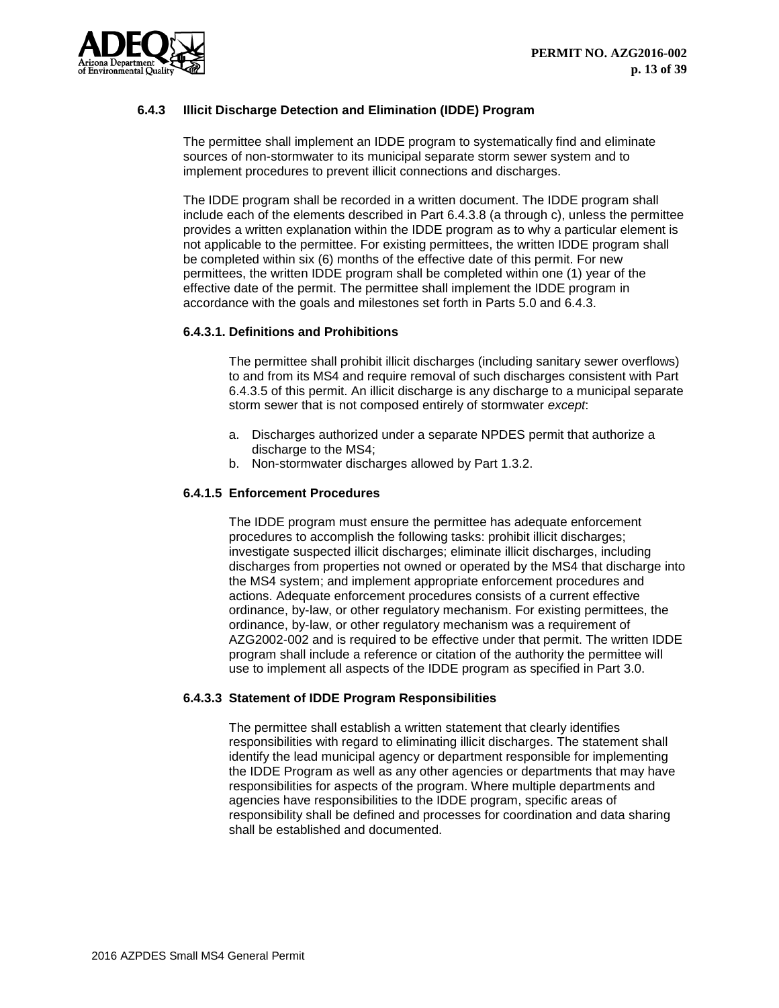

# <span id="page-13-0"></span>**6.4.3 Illicit Discharge Detection and Elimination (IDDE) Program**

The permittee shall implement an IDDE program to systematically find and eliminate sources of non-stormwater to its municipal separate storm sewer system and to implement procedures to prevent illicit connections and discharges.

The IDDE program shall be recorded in a written document. The IDDE program shall include each of the elements described in Part 6.4.3.8 (a through c), unless the permittee provides a written explanation within the IDDE program as to why a particular element is not applicable to the permittee. For existing permittees, the written IDDE program shall be completed within six (6) months of the effective date of this permit. For new permittees, the written IDDE program shall be completed within one (1) year of the effective date of the permit. The permittee shall implement the IDDE program in accordance with the goals and milestones set forth in Parts 5.0 and 6.4.3.

# **6.4.3.1. Definitions and Prohibitions**

The permittee shall prohibit illicit discharges (including sanitary sewer overflows) to and from its MS4 and require removal of such discharges consistent with Part 6.4.3.5 of this permit. An illicit discharge is any discharge to a municipal separate storm sewer that is not composed entirely of stormwater *except*:

- a. Discharges authorized under a separate NPDES permit that authorize a discharge to the MS4;
- b. Non-stormwater discharges allowed by Part 1.3.2.

# **6.4.1.5 Enforcement Procedures**

The IDDE program must ensure the permittee has adequate enforcement procedures to accomplish the following tasks: prohibit illicit discharges; investigate suspected illicit discharges; eliminate illicit discharges, including discharges from properties not owned or operated by the MS4 that discharge into the MS4 system; and implement appropriate enforcement procedures and actions. Adequate enforcement procedures consists of a current effective ordinance, by-law, or other regulatory mechanism. For existing permittees, the ordinance, by-law, or other regulatory mechanism was a requirement of AZG2002-002 and is required to be effective under that permit. The written IDDE program shall include a reference or citation of the authority the permittee will use to implement all aspects of the IDDE program as specified in Part 3.0.

## **6.4.3.3 Statement of IDDE Program Responsibilities**

The permittee shall establish a written statement that clearly identifies responsibilities with regard to eliminating illicit discharges. The statement shall identify the lead municipal agency or department responsible for implementing the IDDE Program as well as any other agencies or departments that may have responsibilities for aspects of the program. Where multiple departments and agencies have responsibilities to the IDDE program, specific areas of responsibility shall be defined and processes for coordination and data sharing shall be established and documented.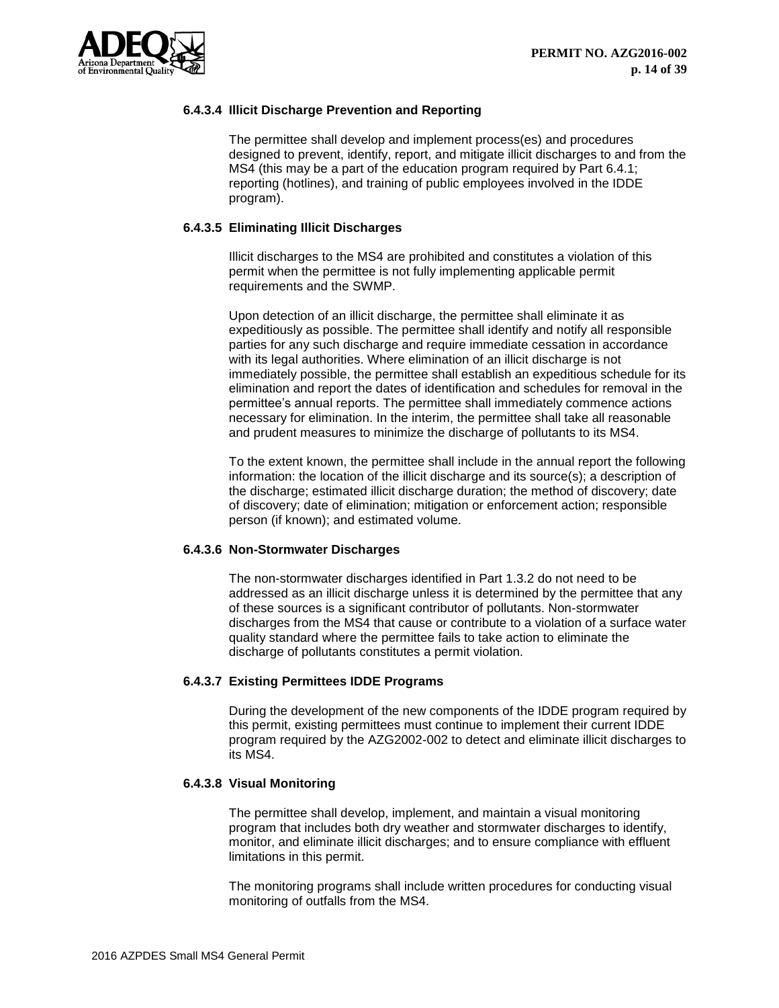

# **6.4.3.4 Illicit Discharge Prevention and Reporting**

The permittee shall develop and implement process(es) and procedures designed to prevent, identify, report, and mitigate illicit discharges to and from the MS4 (this may be a part of the education program required by Part 6.4.1; reporting (hotlines), and training of public employees involved in the IDDE program).

# **6.4.3.5 Eliminating Illicit Discharges**

Illicit discharges to the MS4 are prohibited and constitutes a violation of this permit when the permittee is not fully implementing applicable permit requirements and the SWMP.

Upon detection of an illicit discharge, the permittee shall eliminate it as expeditiously as possible. The permittee shall identify and notify all responsible parties for any such discharge and require immediate cessation in accordance with its legal authorities. Where elimination of an illicit discharge is not immediately possible, the permittee shall establish an expeditious schedule for its elimination and report the dates of identification and schedules for removal in the permittee's annual reports. The permittee shall immediately commence actions necessary for elimination. In the interim, the permittee shall take all reasonable and prudent measures to minimize the discharge of pollutants to its MS4.

To the extent known, the permittee shall include in the annual report the following information: the location of the illicit discharge and its source(s); a description of the discharge; estimated illicit discharge duration; the method of discovery; date of discovery; date of elimination; mitigation or enforcement action; responsible person (if known); and estimated volume.

## **6.4.3.6 Non-Stormwater Discharges**

The non-stormwater discharges identified in Part 1.3.2 do not need to be addressed as an illicit discharge unless it is determined by the permittee that any of these sources is a significant contributor of pollutants. Non-stormwater discharges from the MS4 that cause or contribute to a violation of a surface water quality standard where the permittee fails to take action to eliminate the discharge of pollutants constitutes a permit violation.

## **6.4.3.7 Existing Permittees IDDE Programs**

During the development of the new components of the IDDE program required by this permit, existing permittees must continue to implement their current IDDE program required by the AZG2002-002 to detect and eliminate illicit discharges to its MS4.

## **6.4.3.8 Visual Monitoring**

The permittee shall develop, implement, and maintain a visual monitoring program that includes both dry weather and stormwater discharges to identify, monitor, and eliminate illicit discharges; and to ensure compliance with effluent limitations in this permit.

The monitoring programs shall include written procedures for conducting visual monitoring of outfalls from the MS4.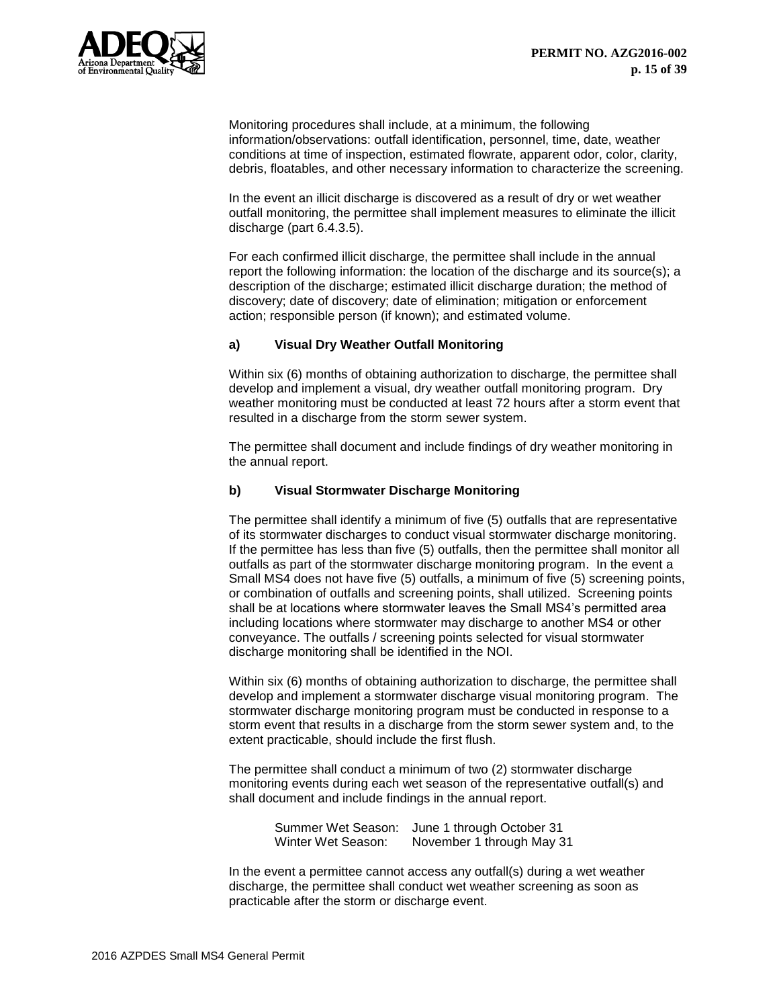

Monitoring procedures shall include, at a minimum, the following information/observations: outfall identification, personnel, time, date, weather conditions at time of inspection, estimated flowrate, apparent odor, color, clarity, debris, floatables, and other necessary information to characterize the screening.

In the event an illicit discharge is discovered as a result of dry or wet weather outfall monitoring, the permittee shall implement measures to eliminate the illicit discharge (part 6.4.3.5).

For each confirmed illicit discharge, the permittee shall include in the annual report the following information: the location of the discharge and its source(s); a description of the discharge; estimated illicit discharge duration; the method of discovery; date of discovery; date of elimination; mitigation or enforcement action; responsible person (if known); and estimated volume.

# **a) Visual Dry Weather Outfall Monitoring**

Within six (6) months of obtaining authorization to discharge, the permittee shall develop and implement a visual, dry weather outfall monitoring program. Dry weather monitoring must be conducted at least 72 hours after a storm event that resulted in a discharge from the storm sewer system.

The permittee shall document and include findings of dry weather monitoring in the annual report.

# **b) Visual Stormwater Discharge Monitoring**

The permittee shall identify a minimum of five (5) outfalls that are representative of its stormwater discharges to conduct visual stormwater discharge monitoring. If the permittee has less than five (5) outfalls, then the permittee shall monitor all outfalls as part of the stormwater discharge monitoring program. In the event a Small MS4 does not have five (5) outfalls, a minimum of five (5) screening points, or combination of outfalls and screening points, shall utilized. Screening points shall be at locations where stormwater leaves the Small MS4's permitted area including locations where stormwater may discharge to another MS4 or other conveyance. The outfalls / screening points selected for visual stormwater discharge monitoring shall be identified in the NOI.

Within six (6) months of obtaining authorization to discharge, the permittee shall develop and implement a stormwater discharge visual monitoring program. The stormwater discharge monitoring program must be conducted in response to a storm event that results in a discharge from the storm sewer system and, to the extent practicable, should include the first flush.

The permittee shall conduct a minimum of two (2) stormwater discharge monitoring events during each wet season of the representative outfall(s) and shall document and include findings in the annual report.

> Summer Wet Season: June 1 through October 31 Winter Wet Season: November 1 through May 31

In the event a permittee cannot access any outfall(s) during a wet weather discharge, the permittee shall conduct wet weather screening as soon as practicable after the storm or discharge event.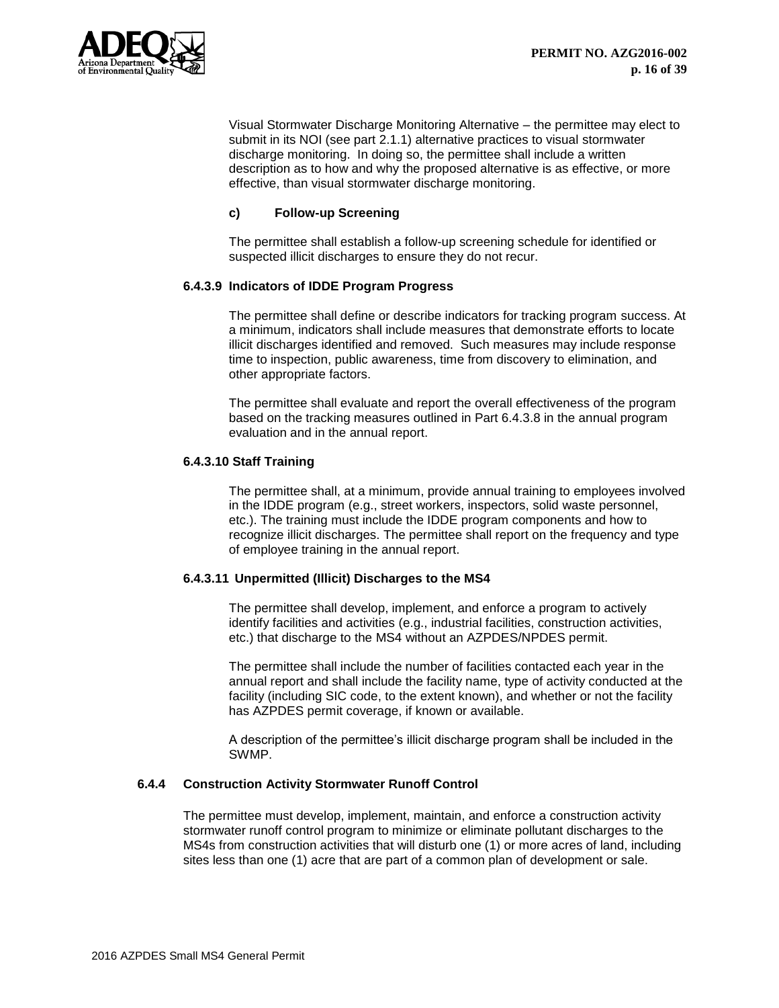

Visual Stormwater Discharge Monitoring Alternative – the permittee may elect to submit in its NOI (see part 2.1.1) alternative practices to visual stormwater discharge monitoring. In doing so, the permittee shall include a written description as to how and why the proposed alternative is as effective, or more effective, than visual stormwater discharge monitoring.

# **c) Follow-up Screening**

The permittee shall establish a follow-up screening schedule for identified or suspected illicit discharges to ensure they do not recur.

# **6.4.3.9 Indicators of IDDE Program Progress**

The permittee shall define or describe indicators for tracking program success. At a minimum, indicators shall include measures that demonstrate efforts to locate illicit discharges identified and removed. Such measures may include response time to inspection, public awareness, time from discovery to elimination, and other appropriate factors.

The permittee shall evaluate and report the overall effectiveness of the program based on the tracking measures outlined in Part 6.4.3.8 in the annual program evaluation and in the annual report.

## **6.4.3.10 Staff Training**

The permittee shall, at a minimum, provide annual training to employees involved in the IDDE program (e.g., street workers, inspectors, solid waste personnel, etc.). The training must include the IDDE program components and how to recognize illicit discharges. The permittee shall report on the frequency and type of employee training in the annual report.

## **6.4.3.11 Unpermitted (Illicit) Discharges to the MS4**

The permittee shall develop, implement, and enforce a program to actively identify facilities and activities (e.g., industrial facilities, construction activities, etc.) that discharge to the MS4 without an AZPDES/NPDES permit.

The permittee shall include the number of facilities contacted each year in the annual report and shall include the facility name, type of activity conducted at the facility (including SIC code, to the extent known), and whether or not the facility has AZPDES permit coverage, if known or available.

A description of the permittee's illicit discharge program shall be included in the SWMP.

## <span id="page-16-0"></span>**6.4.4 Construction Activity Stormwater Runoff Control**

The permittee must develop, implement, maintain, and enforce a construction activity stormwater runoff control program to minimize or eliminate pollutant discharges to the MS4s from construction activities that will disturb one (1) or more acres of land, including sites less than one (1) acre that are part of a common plan of development or sale.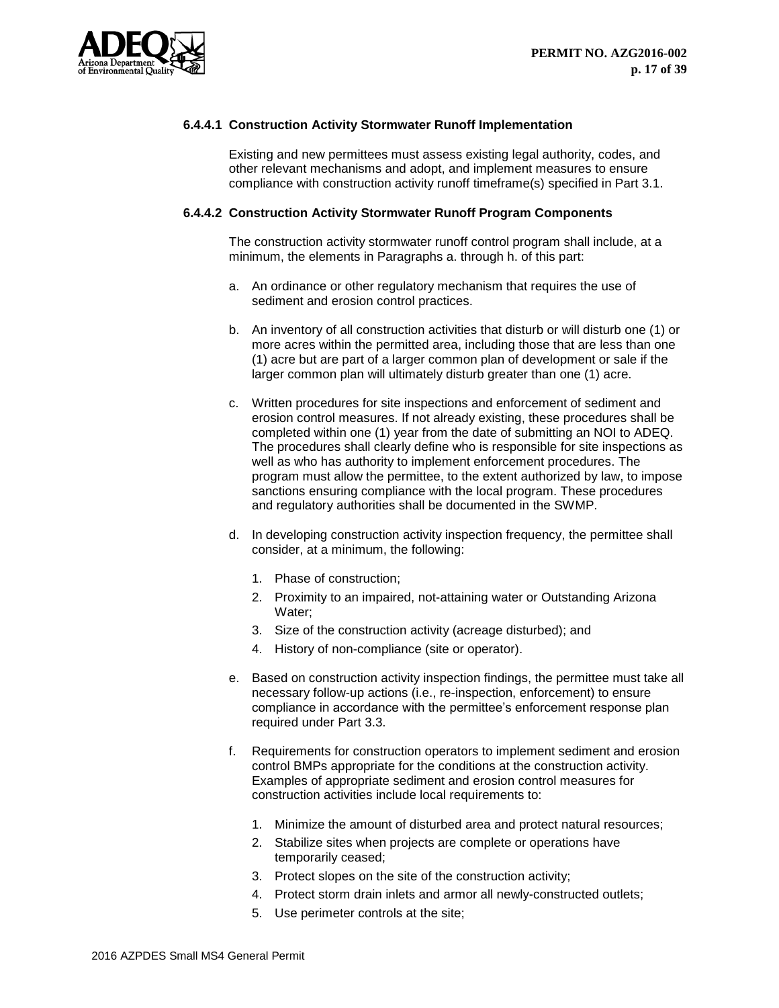

# **6.4.4.1 Construction Activity Stormwater Runoff Implementation**

Existing and new permittees must assess existing legal authority, codes, and other relevant mechanisms and adopt, and implement measures to ensure compliance with construction activity runoff timeframe(s) specified in Part 3.1.

# **6.4.4.2 Construction Activity Stormwater Runoff Program Components**

The construction activity stormwater runoff control program shall include, at a minimum, the elements in Paragraphs a. through h. of this part:

- a. An ordinance or other regulatory mechanism that requires the use of sediment and erosion control practices.
- b. An inventory of all construction activities that disturb or will disturb one (1) or more acres within the permitted area, including those that are less than one (1) acre but are part of a larger common plan of development or sale if the larger common plan will ultimately disturb greater than one (1) acre.
- c. Written procedures for site inspections and enforcement of sediment and erosion control measures. If not already existing, these procedures shall be completed within one (1) year from the date of submitting an NOI to ADEQ. The procedures shall clearly define who is responsible for site inspections as well as who has authority to implement enforcement procedures. The program must allow the permittee, to the extent authorized by law, to impose sanctions ensuring compliance with the local program. These procedures and regulatory authorities shall be documented in the SWMP.
- d. In developing construction activity inspection frequency, the permittee shall consider, at a minimum, the following:
	- 1. Phase of construction;
	- 2. Proximity to an impaired, not-attaining water or Outstanding Arizona Water;
	- 3. Size of the construction activity (acreage disturbed); and
	- 4. History of non-compliance (site or operator).
- e. Based on construction activity inspection findings, the permittee must take all necessary follow-up actions (i.e., re-inspection, enforcement) to ensure compliance in accordance with the permittee's enforcement response plan required under Part 3.3.
- f. Requirements for construction operators to implement sediment and erosion control BMPs appropriate for the conditions at the construction activity. Examples of appropriate sediment and erosion control measures for construction activities include local requirements to:
	- 1. Minimize the amount of disturbed area and protect natural resources;
	- 2. Stabilize sites when projects are complete or operations have temporarily ceased;
	- 3. Protect slopes on the site of the construction activity;
	- 4. Protect storm drain inlets and armor all newly-constructed outlets;
	- 5. Use perimeter controls at the site;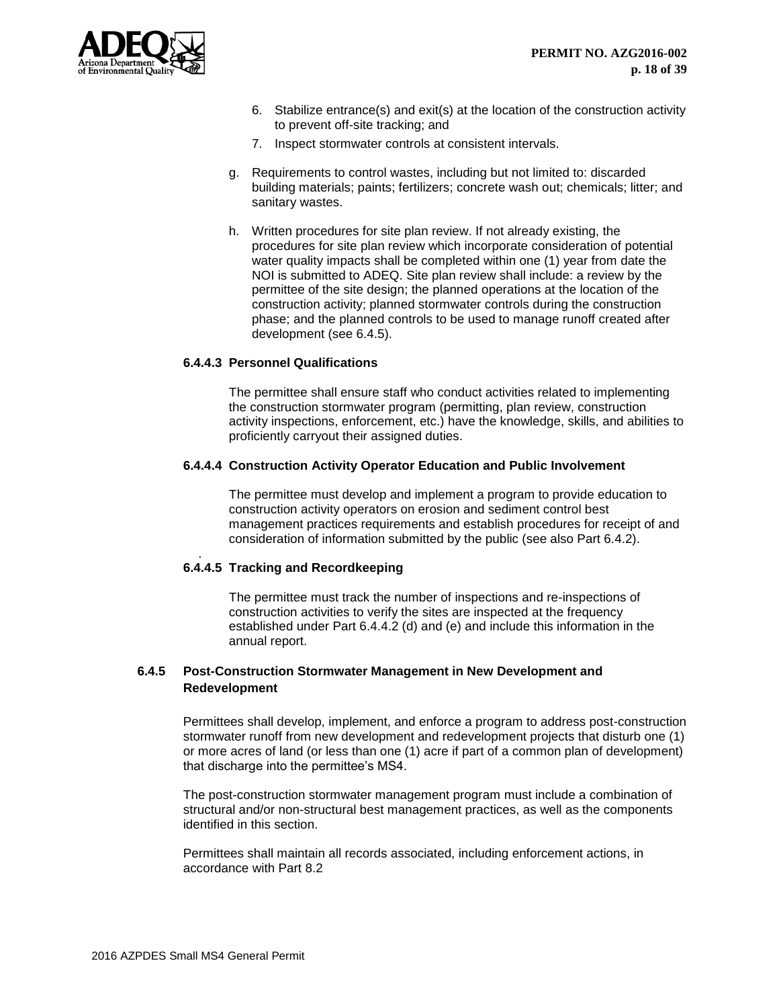

- 6. Stabilize entrance(s) and exit(s) at the location of the construction activity to prevent off-site tracking; and
- 7. Inspect stormwater controls at consistent intervals.
- g. Requirements to control wastes, including but not limited to: discarded building materials; paints; fertilizers; concrete wash out; chemicals; litter; and sanitary wastes.
- h. Written procedures for site plan review. If not already existing, the procedures for site plan review which incorporate consideration of potential water quality impacts shall be completed within one (1) year from date the NOI is submitted to ADEQ. Site plan review shall include: a review by the permittee of the site design; the planned operations at the location of the construction activity; planned stormwater controls during the construction phase; and the planned controls to be used to manage runoff created after development (see 6.4.5).

#### **6.4.4.3 Personnel Qualifications**

The permittee shall ensure staff who conduct activities related to implementing the construction stormwater program (permitting, plan review, construction activity inspections, enforcement, etc.) have the knowledge, skills, and abilities to proficiently carryout their assigned duties.

#### **6.4.4.4 Construction Activity Operator Education and Public Involvement**

The permittee must develop and implement a program to provide education to construction activity operators on erosion and sediment control best management practices requirements and establish procedures for receipt of and consideration of information submitted by the public (see also Part 6.4.2).

## **6.4.4.5 Tracking and Recordkeeping**

The permittee must track the number of inspections and re-inspections of construction activities to verify the sites are inspected at the frequency established under Part 6.4.4.2 (d) and (e) and include this information in the annual report.

# <span id="page-18-0"></span>**6.4.5 Post-Construction Stormwater Management in New Development and Redevelopment**

Permittees shall develop, implement, and enforce a program to address post-construction stormwater runoff from new development and redevelopment projects that disturb one (1) or more acres of land (or less than one (1) acre if part of a common plan of development) that discharge into the permittee's MS4.

The post-construction stormwater management program must include a combination of structural and/or non-structural best management practices, as well as the components identified in this section.

Permittees shall maintain all records associated, including enforcement actions, in accordance with Part 8.2

.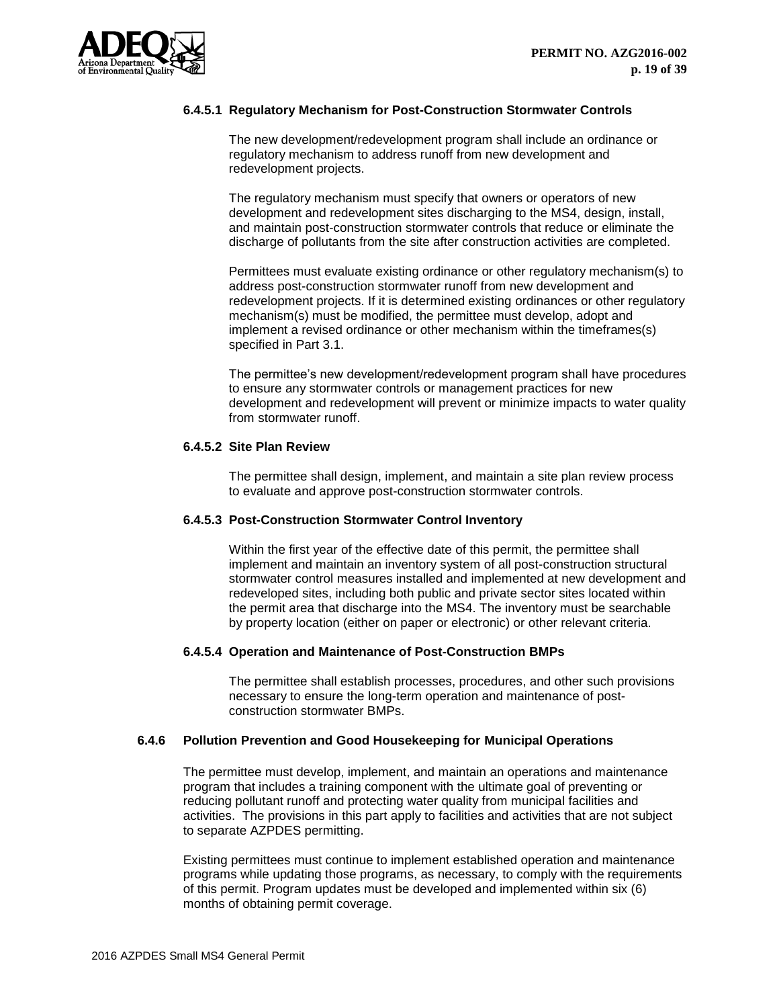

## **6.4.5.1 Regulatory Mechanism for Post-Construction Stormwater Controls**

The new development/redevelopment program shall include an ordinance or regulatory mechanism to address runoff from new development and redevelopment projects.

The regulatory mechanism must specify that owners or operators of new development and redevelopment sites discharging to the MS4, design, install, and maintain post-construction stormwater controls that reduce or eliminate the discharge of pollutants from the site after construction activities are completed.

Permittees must evaluate existing ordinance or other regulatory mechanism(s) to address post-construction stormwater runoff from new development and redevelopment projects. If it is determined existing ordinances or other regulatory mechanism(s) must be modified, the permittee must develop, adopt and implement a revised ordinance or other mechanism within the timeframes(s) specified in Part 3.1.

The permittee's new development/redevelopment program shall have procedures to ensure any stormwater controls or management practices for new development and redevelopment will prevent or minimize impacts to water quality from stormwater runoff.

#### **6.4.5.2 Site Plan Review**

The permittee shall design, implement, and maintain a site plan review process to evaluate and approve post-construction stormwater controls.

#### **6.4.5.3 Post-Construction Stormwater Control Inventory**

Within the first year of the effective date of this permit, the permittee shall implement and maintain an inventory system of all post-construction structural stormwater control measures installed and implemented at new development and redeveloped sites, including both public and private sector sites located within the permit area that discharge into the MS4. The inventory must be searchable by property location (either on paper or electronic) or other relevant criteria.

## **6.4.5.4 Operation and Maintenance of Post-Construction BMPs**

The permittee shall establish processes, procedures, and other such provisions necessary to ensure the long-term operation and maintenance of postconstruction stormwater BMPs.

## <span id="page-19-0"></span>**6.4.6 Pollution Prevention and Good Housekeeping for Municipal Operations**

The permittee must develop, implement, and maintain an operations and maintenance program that includes a training component with the ultimate goal of preventing or reducing pollutant runoff and protecting water quality from municipal facilities and activities. The provisions in this part apply to facilities and activities that are not subject to separate AZPDES permitting.

Existing permittees must continue to implement established operation and maintenance programs while updating those programs, as necessary, to comply with the requirements of this permit. Program updates must be developed and implemented within six (6) months of obtaining permit coverage.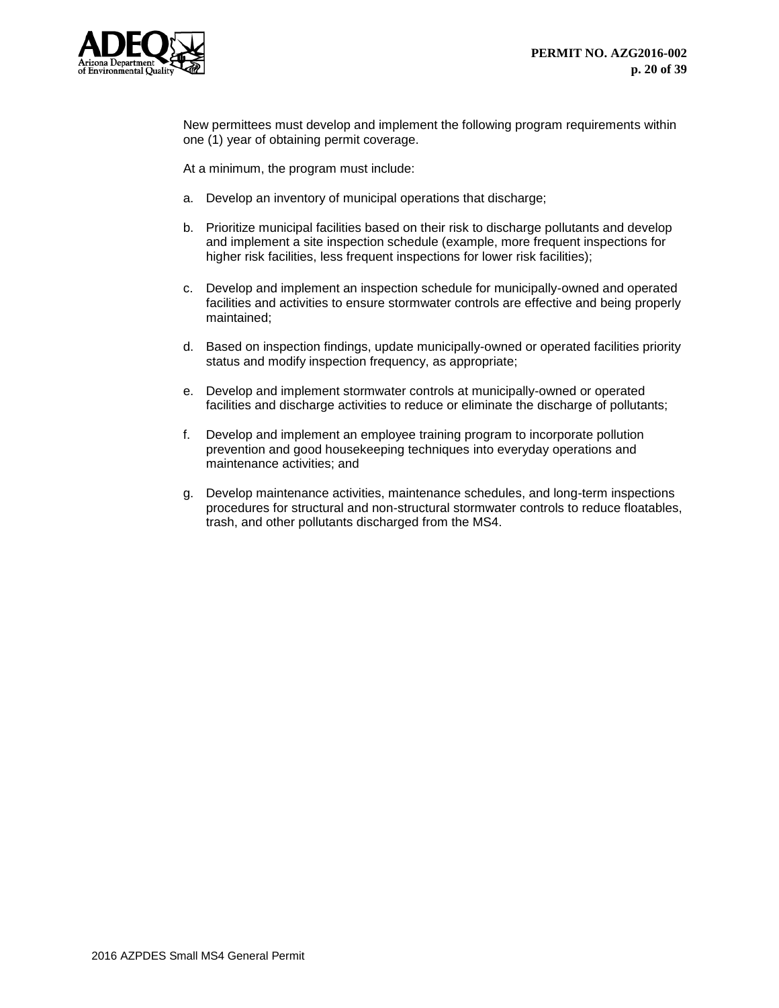

New permittees must develop and implement the following program requirements within one (1) year of obtaining permit coverage.

At a minimum, the program must include:

- a. Develop an inventory of municipal operations that discharge;
- b. Prioritize municipal facilities based on their risk to discharge pollutants and develop and implement a site inspection schedule (example, more frequent inspections for higher risk facilities, less frequent inspections for lower risk facilities);
- c. Develop and implement an inspection schedule for municipally-owned and operated facilities and activities to ensure stormwater controls are effective and being properly maintained;
- d. Based on inspection findings, update municipally-owned or operated facilities priority status and modify inspection frequency, as appropriate;
- e. Develop and implement stormwater controls at municipally-owned or operated facilities and discharge activities to reduce or eliminate the discharge of pollutants;
- f. Develop and implement an employee training program to incorporate pollution prevention and good housekeeping techniques into everyday operations and maintenance activities; and
- g. Develop maintenance activities, maintenance schedules, and long-term inspections procedures for structural and non-structural stormwater controls to reduce floatables, trash, and other pollutants discharged from the MS4.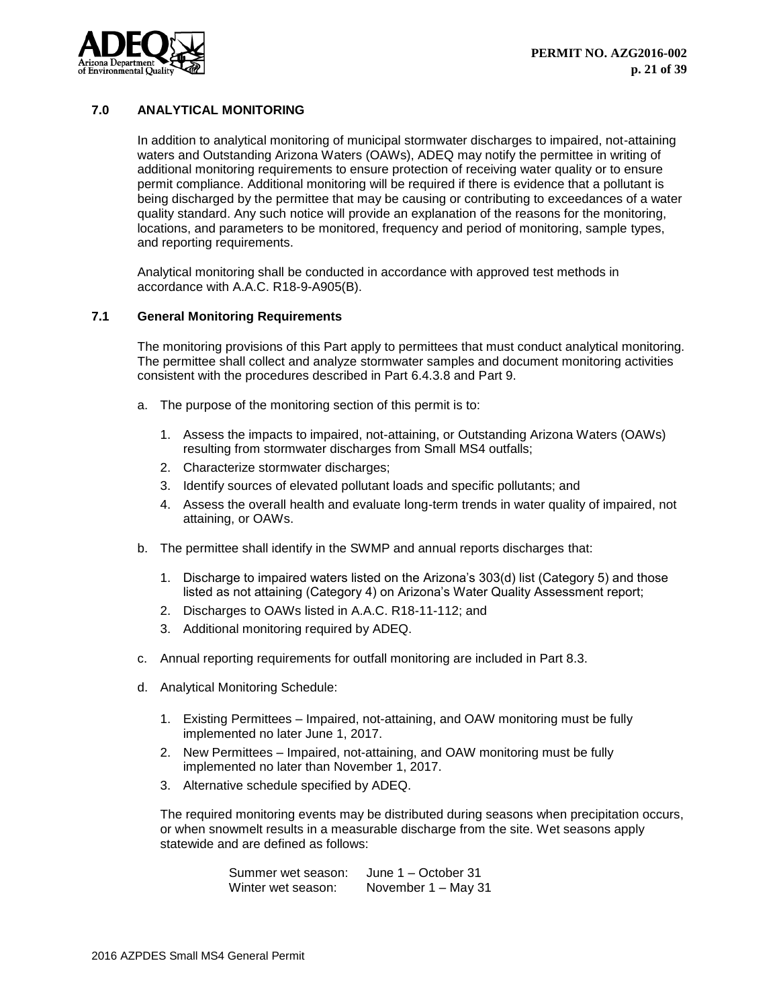

# <span id="page-21-0"></span>**7.0 ANALYTICAL MONITORING**

In addition to analytical monitoring of municipal stormwater discharges to impaired, not-attaining waters and Outstanding Arizona Waters (OAWs), ADEQ may notify the permittee in writing of additional monitoring requirements to ensure protection of receiving water quality or to ensure permit compliance. Additional monitoring will be required if there is evidence that a pollutant is being discharged by the permittee that may be causing or contributing to exceedances of a water quality standard. Any such notice will provide an explanation of the reasons for the monitoring, locations, and parameters to be monitored, frequency and period of monitoring, sample types, and reporting requirements.

Analytical monitoring shall be conducted in accordance with approved test methods in accordance with A.A.C. R18-9-A905(B).

## <span id="page-21-1"></span>**7.1 General Monitoring Requirements**

The monitoring provisions of this Part apply to permittees that must conduct analytical monitoring. The permittee shall collect and analyze stormwater samples and document monitoring activities consistent with the procedures described in Part 6.4.3.8 and Part 9.

- a. The purpose of the monitoring section of this permit is to:
	- 1. Assess the impacts to impaired, not-attaining, or Outstanding Arizona Waters (OAWs) resulting from stormwater discharges from Small MS4 outfalls;
	- 2. Characterize stormwater discharges;
	- 3. Identify sources of elevated pollutant loads and specific pollutants; and
	- 4. Assess the overall health and evaluate long-term trends in water quality of impaired, not attaining, or OAWs.
- b. The permittee shall identify in the SWMP and annual reports discharges that:
	- 1. Discharge to impaired waters listed on the Arizona's 303(d) list (Category 5) and those listed as not attaining (Category 4) on Arizona's Water Quality Assessment report;
	- 2. Discharges to OAWs listed in A.A.C. R18-11-112; and
	- 3. Additional monitoring required by ADEQ.
- c. Annual reporting requirements for outfall monitoring are included in Part 8.3.
- d. Analytical Monitoring Schedule:
	- 1. Existing Permittees Impaired, not-attaining, and OAW monitoring must be fully implemented no later June 1, 2017.
	- 2. New Permittees Impaired, not-attaining, and OAW monitoring must be fully implemented no later than November 1, 2017.
	- 3. Alternative schedule specified by ADEQ.

The required monitoring events may be distributed during seasons when precipitation occurs, or when snowmelt results in a measurable discharge from the site. Wet seasons apply statewide and are defined as follows:

> Summer wet season: June 1 – October 31 Winter wet season: November 1 – May 31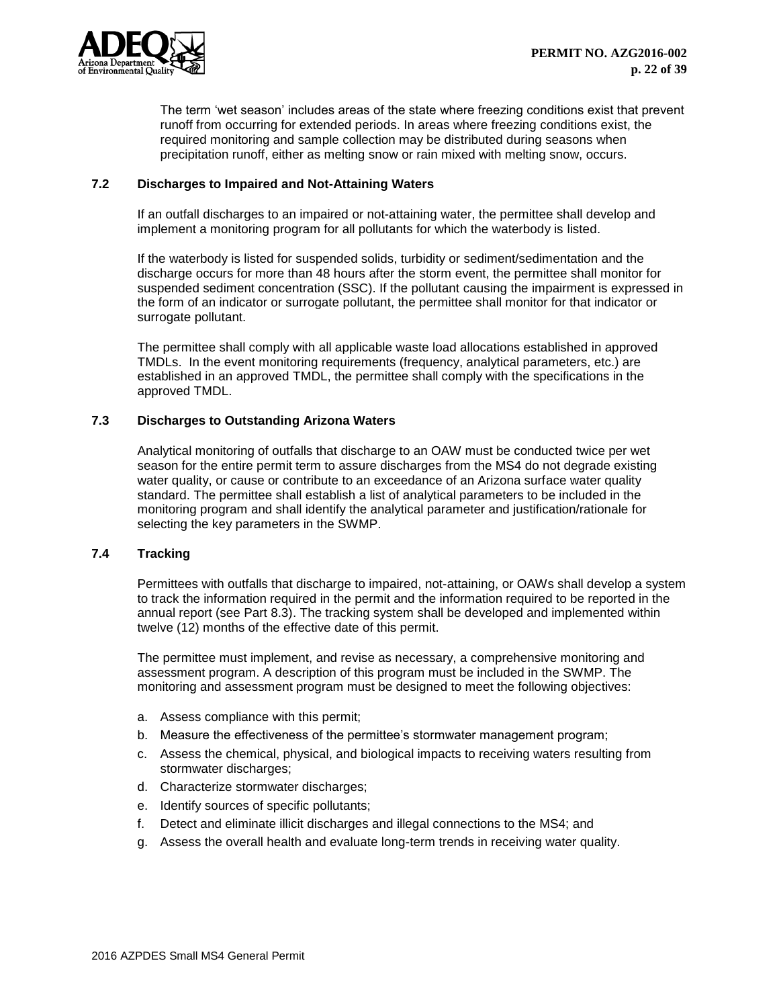

The term 'wet season' includes areas of the state where freezing conditions exist that prevent runoff from occurring for extended periods. In areas where freezing conditions exist, the required monitoring and sample collection may be distributed during seasons when precipitation runoff, either as melting snow or rain mixed with melting snow, occurs.

## <span id="page-22-0"></span>**7.2 Discharges to Impaired and Not-Attaining Waters**

If an outfall discharges to an impaired or not-attaining water, the permittee shall develop and implement a monitoring program for all pollutants for which the waterbody is listed.

If the waterbody is listed for suspended solids, turbidity or sediment/sedimentation and the discharge occurs for more than 48 hours after the storm event, the permittee shall monitor for suspended sediment concentration (SSC). If the pollutant causing the impairment is expressed in the form of an indicator or surrogate pollutant, the permittee shall monitor for that indicator or surrogate pollutant.

The permittee shall comply with all applicable waste load allocations established in approved TMDLs. In the event monitoring requirements (frequency, analytical parameters, etc.) are established in an approved TMDL, the permittee shall comply with the specifications in the approved TMDL.

# <span id="page-22-1"></span>**7.3 Discharges to Outstanding Arizona Waters**

Analytical monitoring of outfalls that discharge to an OAW must be conducted twice per wet season for the entire permit term to assure discharges from the MS4 do not degrade existing water quality, or cause or contribute to an exceedance of an Arizona surface water quality standard. The permittee shall establish a list of analytical parameters to be included in the monitoring program and shall identify the analytical parameter and justification/rationale for selecting the key parameters in the SWMP.

## <span id="page-22-2"></span>**7.4 Tracking**

Permittees with outfalls that discharge to impaired, not-attaining, or OAWs shall develop a system to track the information required in the permit and the information required to be reported in the annual report (see Part 8.3). The tracking system shall be developed and implemented within twelve (12) months of the effective date of this permit.

The permittee must implement, and revise as necessary, a comprehensive monitoring and assessment program. A description of this program must be included in the SWMP. The monitoring and assessment program must be designed to meet the following objectives:

- a. Assess compliance with this permit;
- b. Measure the effectiveness of the permittee's stormwater management program;
- c. Assess the chemical, physical, and biological impacts to receiving waters resulting from stormwater discharges;
- d. Characterize stormwater discharges;
- e. Identify sources of specific pollutants;
- f. Detect and eliminate illicit discharges and illegal connections to the MS4; and
- g. Assess the overall health and evaluate long-term trends in receiving water quality.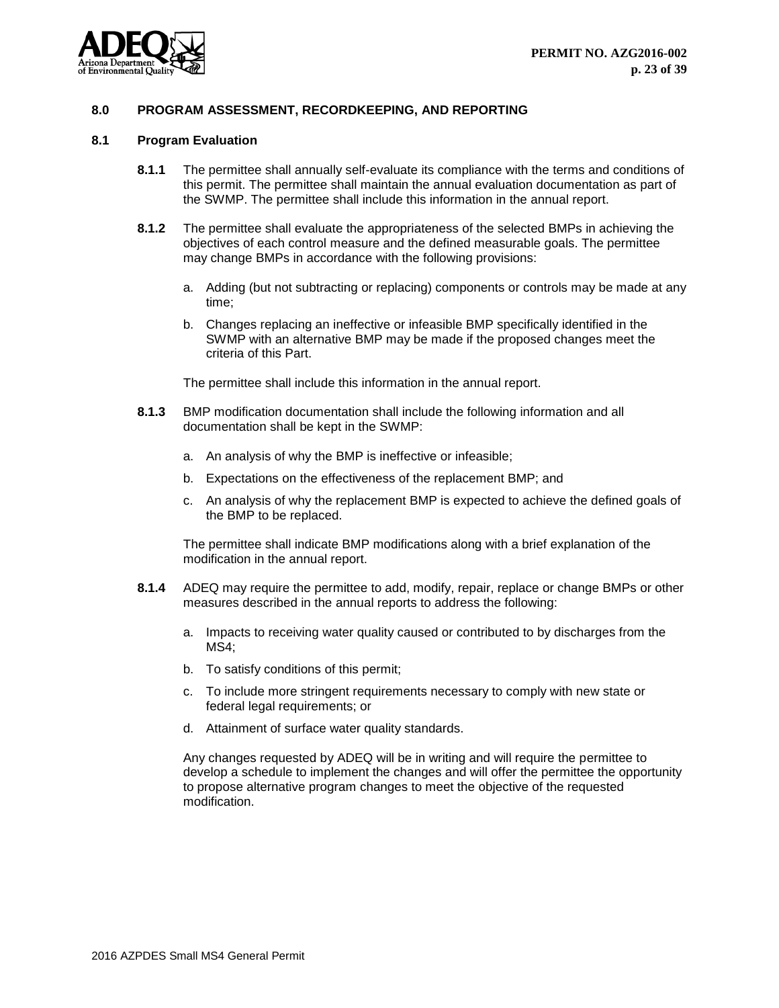

## <span id="page-23-0"></span>**8.0 PROGRAM ASSESSMENT, RECORDKEEPING, AND REPORTING**

#### <span id="page-23-1"></span>**8.1 Program Evaluation**

- **8.1.1** The permittee shall annually self-evaluate its compliance with the terms and conditions of this permit. The permittee shall maintain the annual evaluation documentation as part of the SWMP. The permittee shall include this information in the annual report.
- **8.1.2** The permittee shall evaluate the appropriateness of the selected BMPs in achieving the objectives of each control measure and the defined measurable goals. The permittee may change BMPs in accordance with the following provisions:
	- a. Adding (but not subtracting or replacing) components or controls may be made at any time;
	- b. Changes replacing an ineffective or infeasible BMP specifically identified in the SWMP with an alternative BMP may be made if the proposed changes meet the criteria of this Part.

The permittee shall include this information in the annual report.

- **8.1.3** BMP modification documentation shall include the following information and all documentation shall be kept in the SWMP:
	- a. An analysis of why the BMP is ineffective or infeasible;
	- b. Expectations on the effectiveness of the replacement BMP; and
	- c. An analysis of why the replacement BMP is expected to achieve the defined goals of the BMP to be replaced.

The permittee shall indicate BMP modifications along with a brief explanation of the modification in the annual report.

- **8.1.4** ADEQ may require the permittee to add, modify, repair, replace or change BMPs or other measures described in the annual reports to address the following:
	- a. Impacts to receiving water quality caused or contributed to by discharges from the MS4;
	- b. To satisfy conditions of this permit;
	- c. To include more stringent requirements necessary to comply with new state or federal legal requirements; or
	- d. Attainment of surface water quality standards.

Any changes requested by ADEQ will be in writing and will require the permittee to develop a schedule to implement the changes and will offer the permittee the opportunity to propose alternative program changes to meet the objective of the requested modification.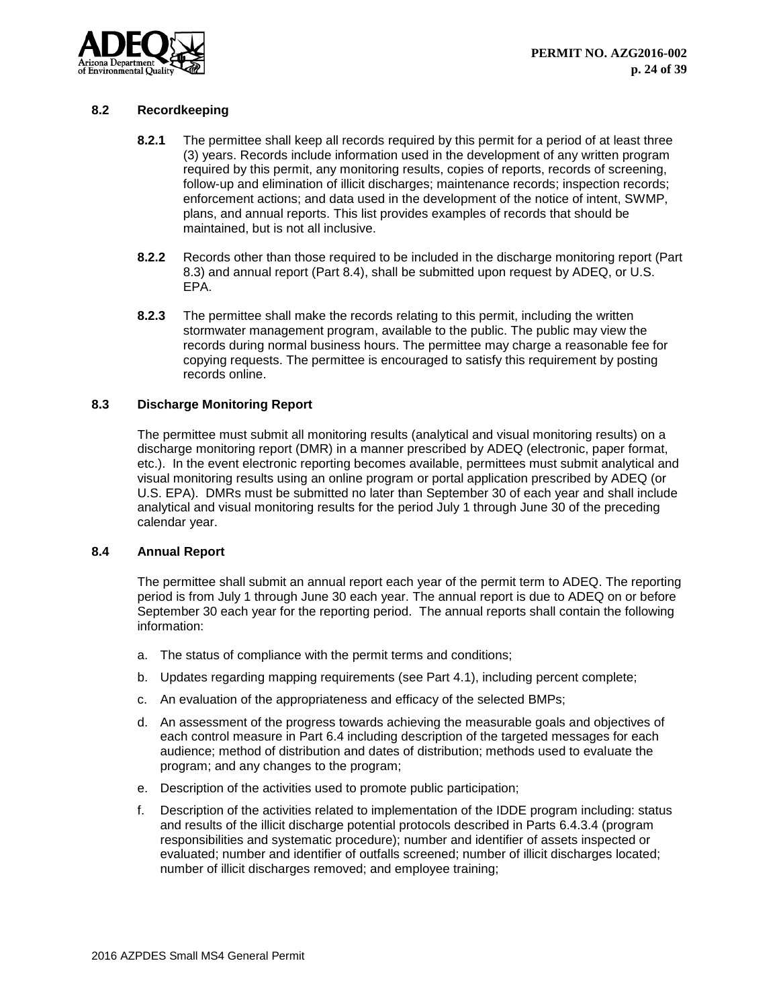

# <span id="page-24-0"></span>**8.2 Recordkeeping**

- **8.2.1** The permittee shall keep all records required by this permit for a period of at least three (3) years. Records include information used in the development of any written program required by this permit, any monitoring results, copies of reports, records of screening, follow-up and elimination of illicit discharges; maintenance records; inspection records; enforcement actions; and data used in the development of the notice of intent, SWMP, plans, and annual reports. This list provides examples of records that should be maintained, but is not all inclusive.
- **8.2.2** Records other than those required to be included in the discharge monitoring report (Part 8.3) and annual report (Part 8.4), shall be submitted upon request by ADEQ, or U.S. EPA.
- **8.2.3** The permittee shall make the records relating to this permit, including the written stormwater management program, available to the public. The public may view the records during normal business hours. The permittee may charge a reasonable fee for copying requests. The permittee is encouraged to satisfy this requirement by posting records online.

## <span id="page-24-1"></span>**8.3 Discharge Monitoring Report**

The permittee must submit all monitoring results (analytical and visual monitoring results) on a discharge monitoring report (DMR) in a manner prescribed by ADEQ (electronic, paper format, etc.). In the event electronic reporting becomes available, permittees must submit analytical and visual monitoring results using an online program or portal application prescribed by ADEQ (or U.S. EPA). DMRs must be submitted no later than September 30 of each year and shall include analytical and visual monitoring results for the period July 1 through June 30 of the preceding calendar year.

## <span id="page-24-2"></span>**8.4 Annual Report**

The permittee shall submit an annual report each year of the permit term to ADEQ. The reporting period is from July 1 through June 30 each year. The annual report is due to ADEQ on or before September 30 each year for the reporting period. The annual reports shall contain the following information:

- a. The status of compliance with the permit terms and conditions;
- b. Updates regarding mapping requirements (see Part 4.1), including percent complete;
- c. An evaluation of the appropriateness and efficacy of the selected BMPs;
- d. An assessment of the progress towards achieving the measurable goals and objectives of each control measure in Part 6.4 including description of the targeted messages for each audience; method of distribution and dates of distribution; methods used to evaluate the program; and any changes to the program;
- e. Description of the activities used to promote public participation;
- f. Description of the activities related to implementation of the IDDE program including: status and results of the illicit discharge potential protocols described in Parts 6.4.3.4 (program responsibilities and systematic procedure); number and identifier of assets inspected or evaluated; number and identifier of outfalls screened; number of illicit discharges located; number of illicit discharges removed; and employee training;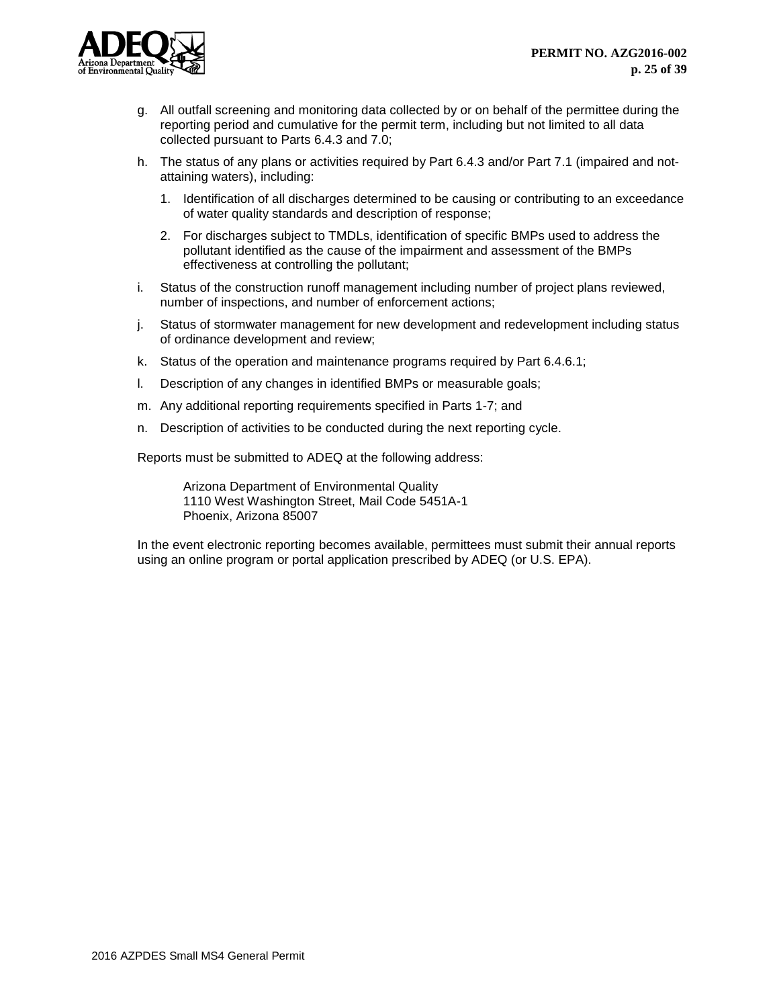

- g. All outfall screening and monitoring data collected by or on behalf of the permittee during the reporting period and cumulative for the permit term, including but not limited to all data collected pursuant to Parts 6.4.3 and 7.0;
- h. The status of any plans or activities required by Part 6.4.3 and/or Part 7.1 (impaired and notattaining waters), including:
	- 1. Identification of all discharges determined to be causing or contributing to an exceedance of water quality standards and description of response;
	- 2. For discharges subject to TMDLs, identification of specific BMPs used to address the pollutant identified as the cause of the impairment and assessment of the BMPs effectiveness at controlling the pollutant;
- i. Status of the construction runoff management including number of project plans reviewed, number of inspections, and number of enforcement actions;
- j. Status of stormwater management for new development and redevelopment including status of ordinance development and review;
- k. Status of the operation and maintenance programs required by Part 6.4.6.1;
- l. Description of any changes in identified BMPs or measurable goals;
- m. Any additional reporting requirements specified in Parts 1-7; and
- n. Description of activities to be conducted during the next reporting cycle.

Reports must be submitted to ADEQ at the following address:

Arizona Department of Environmental Quality 1110 West Washington Street, Mail Code 5451A-1 Phoenix, Arizona 85007

In the event electronic reporting becomes available, permittees must submit their annual reports using an online program or portal application prescribed by ADEQ (or U.S. EPA).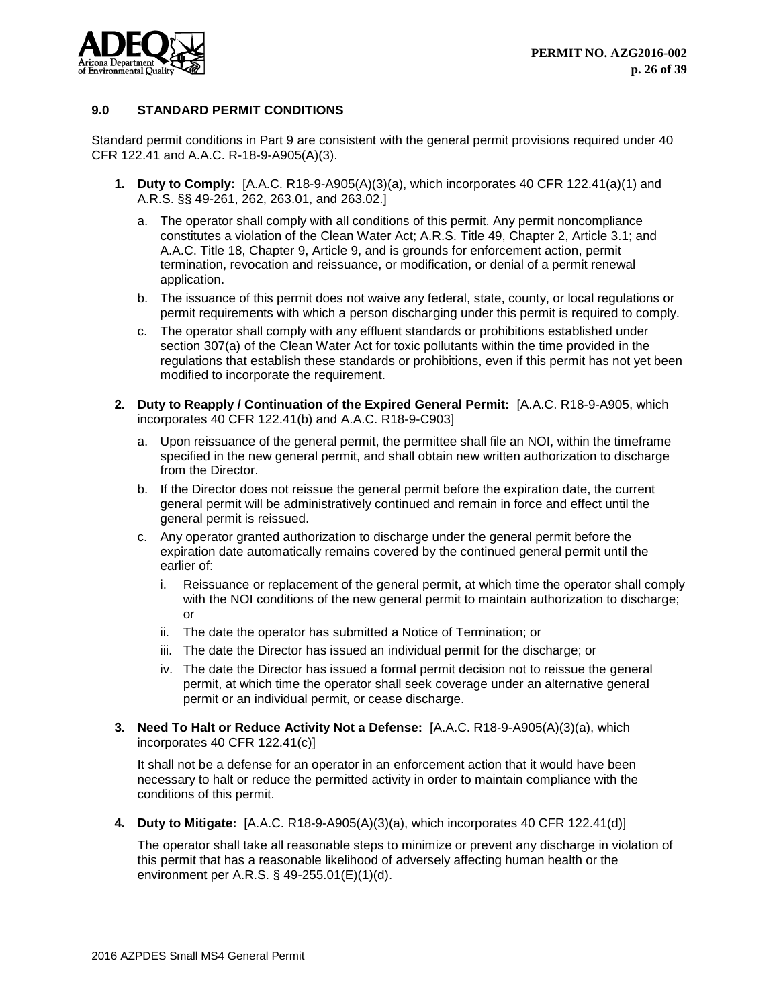

# <span id="page-26-0"></span>**9.0 STANDARD PERMIT CONDITIONS**

Standard permit conditions in Part 9 are consistent with the general permit provisions required under 40 CFR 122.41 and A.A.C. R-18-9-A905(A)(3).

- **1. Duty to Comply:** [A.A.C. R18-9-A905(A)(3)(a), which incorporates 40 CFR 122.41(a)(1) and A.R.S. §§ 49-261, 262, 263.01, and 263.02.]
	- a. The operator shall comply with all conditions of this permit. Any permit noncompliance constitutes a violation of the Clean Water Act; A.R.S. Title 49, Chapter 2, Article 3.1; and A.A.C. Title 18, Chapter 9, Article 9, and is grounds for enforcement action, permit termination, revocation and reissuance, or modification, or denial of a permit renewal application.
	- b. The issuance of this permit does not waive any federal, state, county, or local regulations or permit requirements with which a person discharging under this permit is required to comply.
	- c. The operator shall comply with any effluent standards or prohibitions established under section 307(a) of the Clean Water Act for toxic pollutants within the time provided in the regulations that establish these standards or prohibitions, even if this permit has not yet been modified to incorporate the requirement.
- **2. Duty to Reapply / Continuation of the Expired General Permit:** [A.A.C. R18-9-A905, which incorporates 40 CFR 122.41(b) and A.A.C. R18-9-C903]
	- a. Upon reissuance of the general permit, the permittee shall file an NOI, within the timeframe specified in the new general permit, and shall obtain new written authorization to discharge from the Director.
	- b. If the Director does not reissue the general permit before the expiration date, the current general permit will be administratively continued and remain in force and effect until the general permit is reissued.
	- c. Any operator granted authorization to discharge under the general permit before the expiration date automatically remains covered by the continued general permit until the earlier of:
		- i. Reissuance or replacement of the general permit, at which time the operator shall comply with the NOI conditions of the new general permit to maintain authorization to discharge; or
		- ii. The date the operator has submitted a Notice of Termination; or
		- iii. The date the Director has issued an individual permit for the discharge; or
		- iv. The date the Director has issued a formal permit decision not to reissue the general permit, at which time the operator shall seek coverage under an alternative general permit or an individual permit, or cease discharge.
- **3. Need To Halt or Reduce Activity Not a Defense:** [A.A.C. R18-9-A905(A)(3)(a), which incorporates 40 CFR 122.41(c)]

It shall not be a defense for an operator in an enforcement action that it would have been necessary to halt or reduce the permitted activity in order to maintain compliance with the conditions of this permit.

**4. Duty to Mitigate:** [A.A.C. R18-9-A905(A)(3)(a), which incorporates 40 CFR 122.41(d)]

The operator shall take all reasonable steps to minimize or prevent any discharge in violation of this permit that has a reasonable likelihood of adversely affecting human health or the environment per A.R.S. § 49-255.01(E)(1)(d).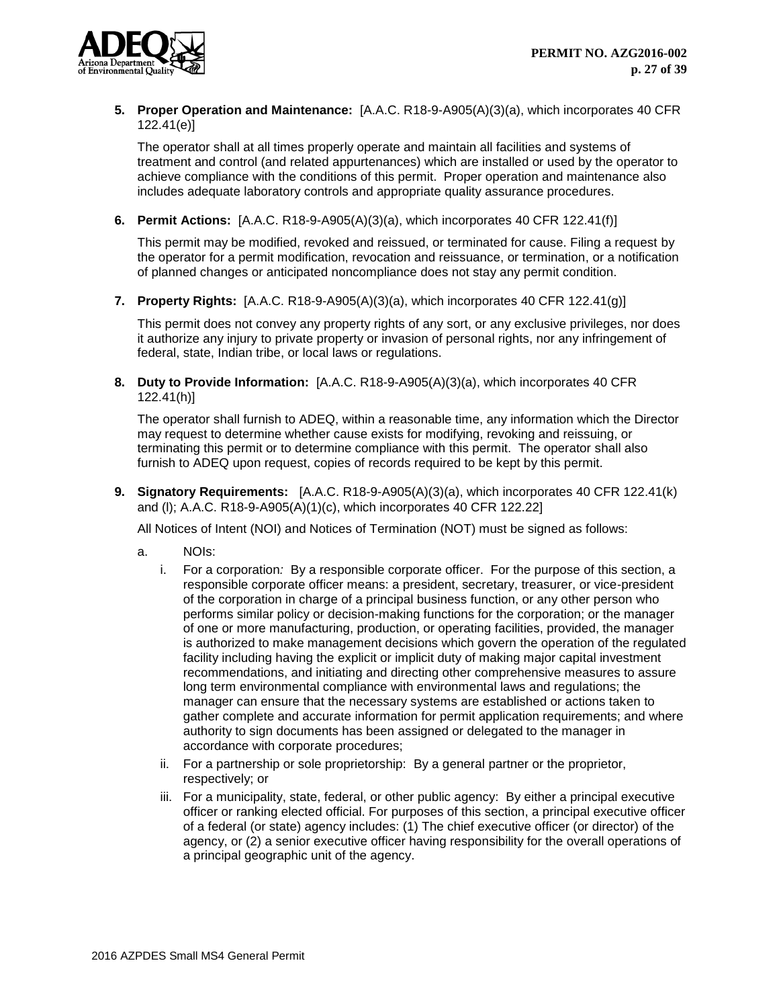

# **5. Proper Operation and Maintenance:** [A.A.C. R18-9-A905(A)(3)(a), which incorporates 40 CFR 122.41(e)]

The operator shall at all times properly operate and maintain all facilities and systems of treatment and control (and related appurtenances) which are installed or used by the operator to achieve compliance with the conditions of this permit. Proper operation and maintenance also includes adequate laboratory controls and appropriate quality assurance procedures.

# **6. Permit Actions:** [A.A.C. R18-9-A905(A)(3)(a), which incorporates 40 CFR 122.41(f)]

This permit may be modified, revoked and reissued, or terminated for cause. Filing a request by the operator for a permit modification, revocation and reissuance, or termination, or a notification of planned changes or anticipated noncompliance does not stay any permit condition.

**7. Property Rights:** [A.A.C. R18-9-A905(A)(3)(a), which incorporates 40 CFR 122.41(g)]

This permit does not convey any property rights of any sort, or any exclusive privileges, nor does it authorize any injury to private property or invasion of personal rights, nor any infringement of federal, state, Indian tribe, or local laws or regulations.

**8. Duty to Provide Information:** [A.A.C. R18-9-A905(A)(3)(a), which incorporates 40 CFR 122.41(h)]

The operator shall furnish to ADEQ, within a reasonable time, any information which the Director may request to determine whether cause exists for modifying, revoking and reissuing, or terminating this permit or to determine compliance with this permit. The operator shall also furnish to ADEQ upon request, copies of records required to be kept by this permit.

**9. Signatory Requirements:** [A.A.C. R18-9-A905(A)(3)(a), which incorporates 40 CFR 122.41(k) and (l); A.A.C. R18-9-A905(A)(1)(c), which incorporates 40 CFR 122.22]

All Notices of Intent (NOI) and Notices of Termination (NOT) must be signed as follows:

- a. NOIs:
	- i. For a corporation*:* By a responsible corporate officer. For the purpose of this section, a responsible corporate officer means: a president, secretary, treasurer, or vice-president of the corporation in charge of a principal business function, or any other person who performs similar policy or decision-making functions for the corporation; or the manager of one or more manufacturing, production, or operating facilities, provided, the manager is authorized to make management decisions which govern the operation of the regulated facility including having the explicit or implicit duty of making major capital investment recommendations, and initiating and directing other comprehensive measures to assure long term environmental compliance with environmental laws and regulations; the manager can ensure that the necessary systems are established or actions taken to gather complete and accurate information for permit application requirements; and where authority to sign documents has been assigned or delegated to the manager in accordance with corporate procedures;
	- ii. For a partnership or sole proprietorship: By a general partner or the proprietor, respectively; or
	- iii. For a municipality, state, federal, or other public agency: By either a principal executive officer or ranking elected official. For purposes of this section, a principal executive officer of a federal (or state) agency includes: (1) The chief executive officer (or director) of the agency, or (2) a senior executive officer having responsibility for the overall operations of a principal geographic unit of the agency.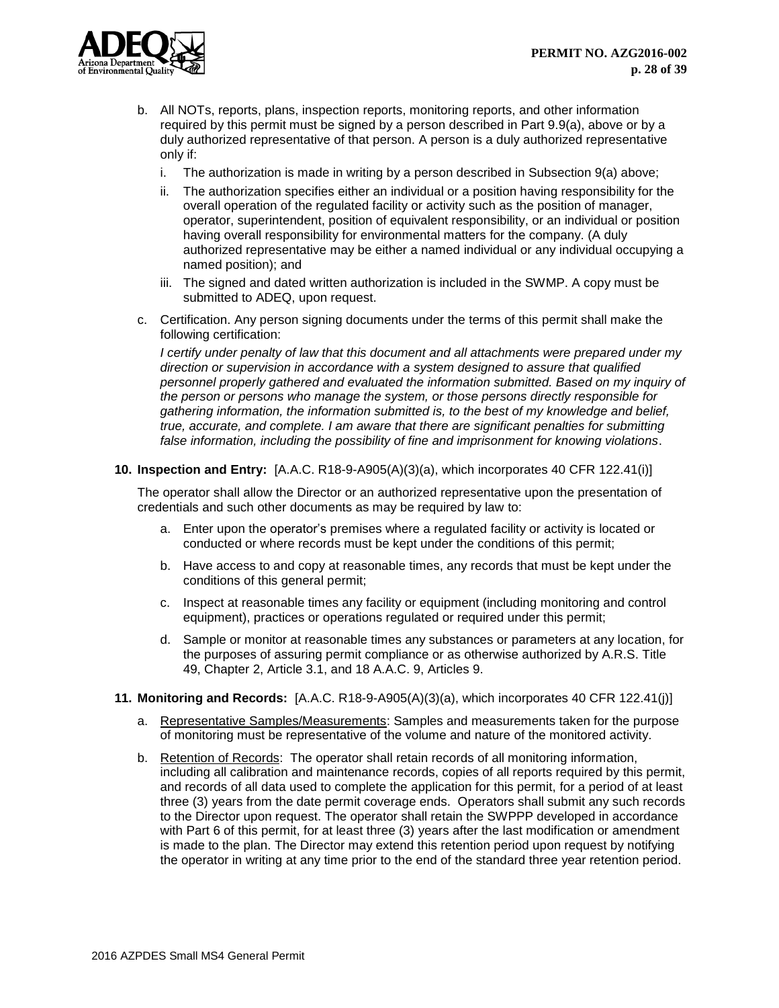

- b. All NOTs, reports, plans, inspection reports, monitoring reports, and other information required by this permit must be signed by a person described in Part 9.9(a), above or by a duly authorized representative of that person. A person is a duly authorized representative only if:
	- i. The authorization is made in writing by a person described in Subsection 9(a) above;
	- ii. The authorization specifies either an individual or a position having responsibility for the overall operation of the regulated facility or activity such as the position of manager, operator, superintendent, position of equivalent responsibility, or an individual or position having overall responsibility for environmental matters for the company. (A duly authorized representative may be either a named individual or any individual occupying a named position); and
	- iii. The signed and dated written authorization is included in the SWMP. A copy must be submitted to ADEQ, upon request.
- c. Certification. Any person signing documents under the terms of this permit shall make the following certification:

*I certify under penalty of law that this document and all attachments were prepared under my direction or supervision in accordance with a system designed to assure that qualified personnel properly gathered and evaluated the information submitted. Based on my inquiry of the person or persons who manage the system, or those persons directly responsible for gathering information, the information submitted is, to the best of my knowledge and belief, true, accurate, and complete. I am aware that there are significant penalties for submitting false information, including the possibility of fine and imprisonment for knowing violations*.

# **10. Inspection and Entry:** [A.A.C. R18-9-A905(A)(3)(a), which incorporates 40 CFR 122.41(i)]

The operator shall allow the Director or an authorized representative upon the presentation of credentials and such other documents as may be required by law to:

- a. Enter upon the operator's premises where a regulated facility or activity is located or conducted or where records must be kept under the conditions of this permit;
- b. Have access to and copy at reasonable times, any records that must be kept under the conditions of this general permit;
- c. Inspect at reasonable times any facility or equipment (including monitoring and control equipment), practices or operations requiated or required under this permit;
- d. Sample or monitor at reasonable times any substances or parameters at any location, for the purposes of assuring permit compliance or as otherwise authorized by A.R.S. Title 49, Chapter 2, Article 3.1, and 18 A.A.C. 9, Articles 9.
- **11. Monitoring and Records:** [A.A.C. R18-9-A905(A)(3)(a), which incorporates 40 CFR 122.41(j)]
	- a. Representative Samples/Measurements: Samples and measurements taken for the purpose of monitoring must be representative of the volume and nature of the monitored activity.
	- b. Retention of Records: The operator shall retain records of all monitoring information, including all calibration and maintenance records, copies of all reports required by this permit, and records of all data used to complete the application for this permit, for a period of at least three (3) years from the date permit coverage ends. Operators shall submit any such records to the Director upon request. The operator shall retain the SWPPP developed in accordance with Part 6 of this permit, for at least three (3) years after the last modification or amendment is made to the plan. The Director may extend this retention period upon request by notifying the operator in writing at any time prior to the end of the standard three year retention period.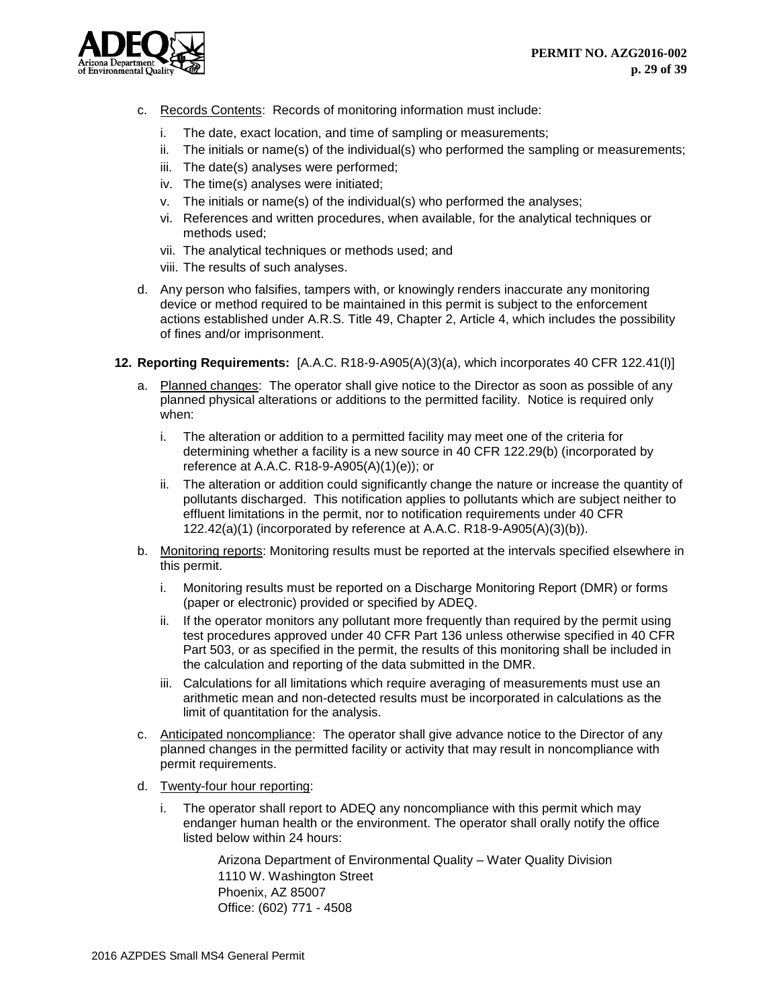

- c. Records Contents: Records of monitoring information must include:
	- i. The date, exact location, and time of sampling or measurements;
	- ii. The initials or name(s) of the individual(s) who performed the sampling or measurements;
	- iii. The date(s) analyses were performed;
	- iv. The time(s) analyses were initiated;
	- v. The initials or name(s) of the individual(s) who performed the analyses;
	- vi. References and written procedures, when available, for the analytical techniques or methods used;
	- vii. The analytical techniques or methods used; and
	- viii. The results of such analyses.
- d. Any person who falsifies, tampers with, or knowingly renders inaccurate any monitoring device or method required to be maintained in this permit is subject to the enforcement actions established under A.R.S. Title 49, Chapter 2, Article 4, which includes the possibility of fines and/or imprisonment.
- **12. Reporting Requirements:** [A.A.C. R18-9-A905(A)(3)(a), which incorporates 40 CFR 122.41(l)]
	- a. Planned changes: The operator shall give notice to the Director as soon as possible of any planned physical alterations or additions to the permitted facility. Notice is required only when:
		- i. The alteration or addition to a permitted facility may meet one of the criteria for determining whether a facility is a new source in 40 CFR 122.29(b) (incorporated by reference at A.A.C. R18-9-A905(A)(1)(e)); or
		- ii. The alteration or addition could significantly change the nature or increase the quantity of pollutants discharged. This notification applies to pollutants which are subject neither to effluent limitations in the permit, nor to notification requirements under 40 CFR 122.42(a)(1) (incorporated by reference at A.A.C. R18-9-A905(A)(3)(b)).
	- b. Monitoring reports: Monitoring results must be reported at the intervals specified elsewhere in this permit.
		- i. Monitoring results must be reported on a Discharge Monitoring Report (DMR) or forms (paper or electronic) provided or specified by ADEQ.
		- ii. If the operator monitors any pollutant more frequently than required by the permit using test procedures approved under 40 CFR Part 136 unless otherwise specified in 40 CFR Part 503, or as specified in the permit, the results of this monitoring shall be included in the calculation and reporting of the data submitted in the DMR.
		- iii. Calculations for all limitations which require averaging of measurements must use an arithmetic mean and non-detected results must be incorporated in calculations as the limit of quantitation for the analysis.
	- c. Anticipated noncompliance: The operator shall give advance notice to the Director of any planned changes in the permitted facility or activity that may result in noncompliance with permit requirements.
	- d. Twenty-four hour reporting:
		- i. The operator shall report to ADEQ any noncompliance with this permit which may endanger human health or the environment. The operator shall orally notify the office listed below within 24 hours:

Arizona Department of Environmental Quality – Water Quality Division 1110 W. Washington Street Phoenix, AZ 85007 Office: (602) 771 - 4508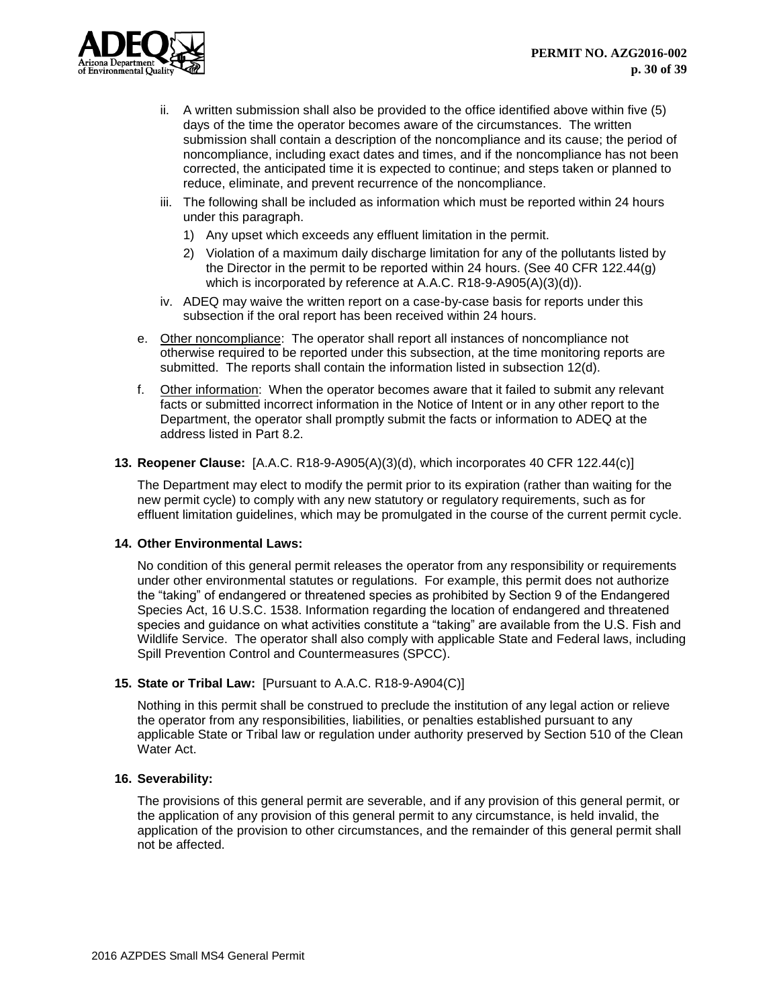

- ii. A written submission shall also be provided to the office identified above within five (5) days of the time the operator becomes aware of the circumstances. The written submission shall contain a description of the noncompliance and its cause; the period of noncompliance, including exact dates and times, and if the noncompliance has not been corrected, the anticipated time it is expected to continue; and steps taken or planned to reduce, eliminate, and prevent recurrence of the noncompliance.
- iii. The following shall be included as information which must be reported within 24 hours under this paragraph.
	- 1) Any upset which exceeds any effluent limitation in the permit.
	- 2) Violation of a maximum daily discharge limitation for any of the pollutants listed by the Director in the permit to be reported within 24 hours. (See 40 CFR 122.44(g) which is incorporated by reference at A.A.C. R18-9-A905(A)(3)(d)).
- iv. ADEQ may waive the written report on a case-by-case basis for reports under this subsection if the oral report has been received within 24 hours.
- e. Other noncompliance: The operator shall report all instances of noncompliance not otherwise required to be reported under this subsection, at the time monitoring reports are submitted. The reports shall contain the information listed in subsection 12(d).
- f. Other information: When the operator becomes aware that it failed to submit any relevant facts or submitted incorrect information in the Notice of Intent or in any other report to the Department, the operator shall promptly submit the facts or information to ADEQ at the address listed in Part 8.2.

# **13. Reopener Clause:** [A.A.C. R18-9-A905(A)(3)(d), which incorporates 40 CFR 122.44(c)]

The Department may elect to modify the permit prior to its expiration (rather than waiting for the new permit cycle) to comply with any new statutory or regulatory requirements, such as for effluent limitation guidelines, which may be promulgated in the course of the current permit cycle.

## **14. Other Environmental Laws:**

No condition of this general permit releases the operator from any responsibility or requirements under other environmental statutes or regulations. For example, this permit does not authorize the "taking" of endangered or threatened species as prohibited by Section 9 of the Endangered Species Act, 16 U.S.C. 1538. Information regarding the location of endangered and threatened species and guidance on what activities constitute a "taking" are available from the U.S. Fish and Wildlife Service. The operator shall also comply with applicable State and Federal laws, including Spill Prevention Control and Countermeasures (SPCC).

## **15. State or Tribal Law:** [Pursuant to A.A.C. R18-9-A904(C)]

Nothing in this permit shall be construed to preclude the institution of any legal action or relieve the operator from any responsibilities, liabilities, or penalties established pursuant to any applicable State or Tribal law or regulation under authority preserved by Section 510 of the Clean Water Act.

## **16. Severability:**

The provisions of this general permit are severable, and if any provision of this general permit, or the application of any provision of this general permit to any circumstance, is held invalid, the application of the provision to other circumstances, and the remainder of this general permit shall not be affected.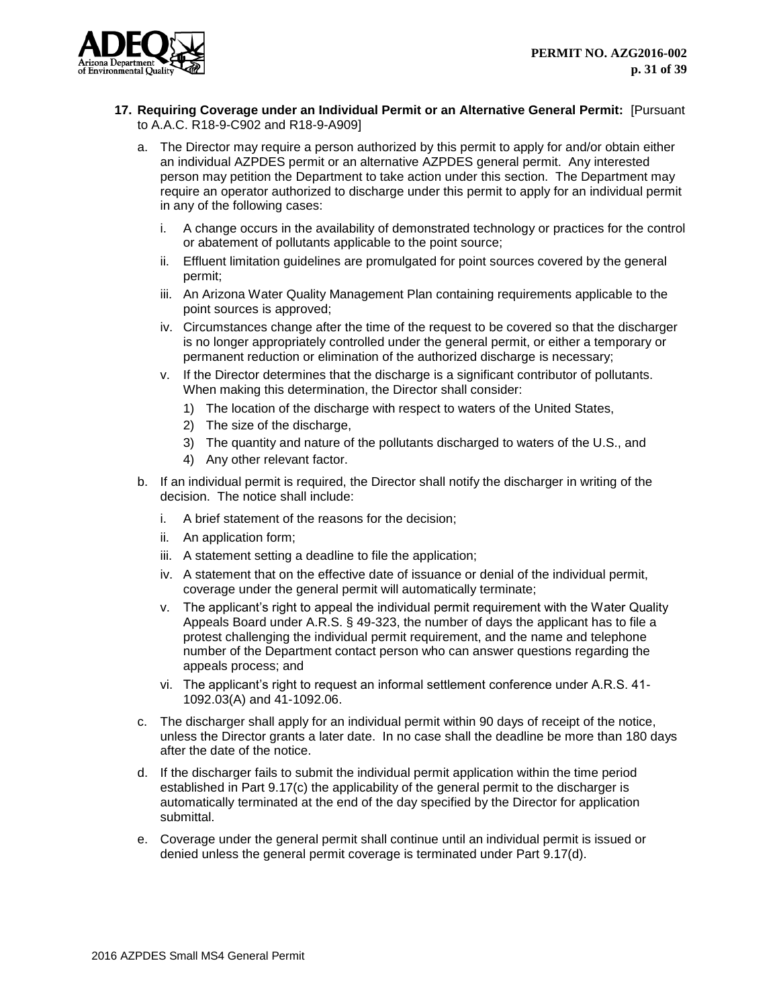

- **17. Requiring Coverage under an Individual Permit or an Alternative General Permit:** [Pursuant to A.A.C. R18-9-C902 and R18-9-A909]
	- a. The Director may require a person authorized by this permit to apply for and/or obtain either an individual AZPDES permit or an alternative AZPDES general permit. Any interested person may petition the Department to take action under this section. The Department may require an operator authorized to discharge under this permit to apply for an individual permit in any of the following cases:
		- i. A change occurs in the availability of demonstrated technology or practices for the control or abatement of pollutants applicable to the point source;
		- ii. Effluent limitation guidelines are promulgated for point sources covered by the general permit;
		- iii. An Arizona Water Quality Management Plan containing requirements applicable to the point sources is approved;
		- iv. Circumstances change after the time of the request to be covered so that the discharger is no longer appropriately controlled under the general permit, or either a temporary or permanent reduction or elimination of the authorized discharge is necessary;
		- v. If the Director determines that the discharge is a significant contributor of pollutants. When making this determination, the Director shall consider:
			- 1) The location of the discharge with respect to waters of the United States,
			- 2) The size of the discharge,
			- 3) The quantity and nature of the pollutants discharged to waters of the U.S., and
			- 4) Any other relevant factor.
	- b. If an individual permit is required, the Director shall notify the discharger in writing of the decision. The notice shall include:
		- i. A brief statement of the reasons for the decision;
		- ii. An application form;
		- iii. A statement setting a deadline to file the application;
		- iv. A statement that on the effective date of issuance or denial of the individual permit, coverage under the general permit will automatically terminate;
		- v. The applicant's right to appeal the individual permit requirement with the Water Quality Appeals Board under A.R.S. § 49-323, the number of days the applicant has to file a protest challenging the individual permit requirement, and the name and telephone number of the Department contact person who can answer questions regarding the appeals process; and
		- vi. The applicant's right to request an informal settlement conference under A.R.S. 41- 1092.03(A) and 41-1092.06.
	- c. The discharger shall apply for an individual permit within 90 days of receipt of the notice, unless the Director grants a later date. In no case shall the deadline be more than 180 days after the date of the notice.
	- d. If the discharger fails to submit the individual permit application within the time period established in Part 9.17(c) the applicability of the general permit to the discharger is automatically terminated at the end of the day specified by the Director for application submittal.
	- e. Coverage under the general permit shall continue until an individual permit is issued or denied unless the general permit coverage is terminated under Part 9.17(d).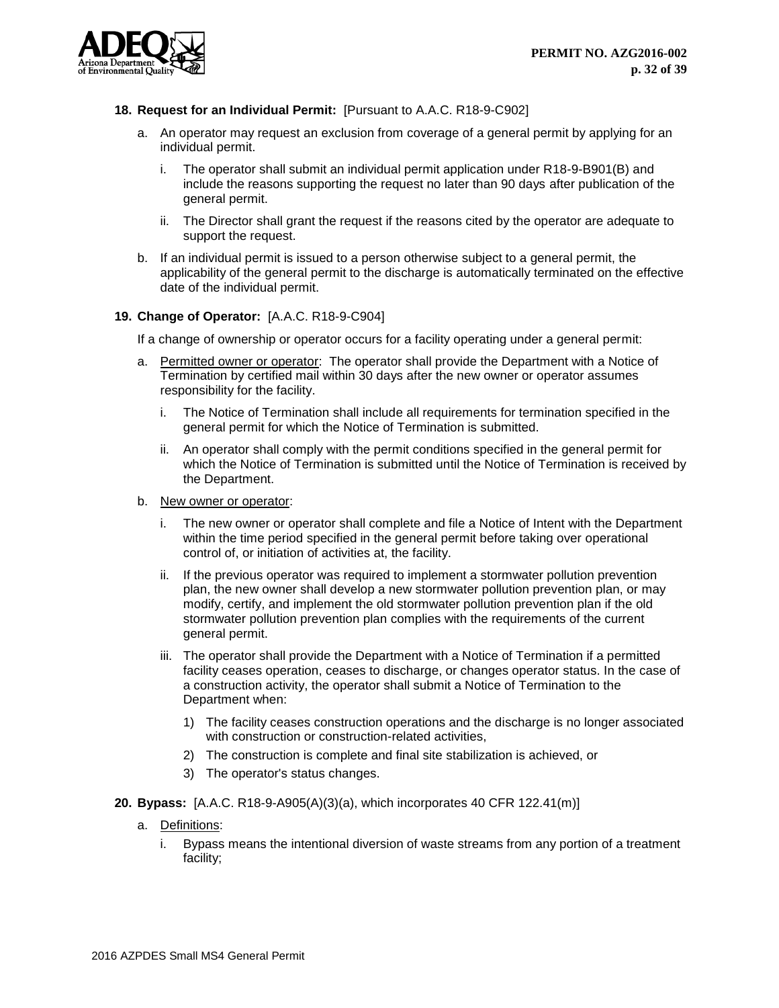

- **18. Request for an Individual Permit:** [Pursuant to A.A.C. R18-9-C902]
	- a. An operator may request an exclusion from coverage of a general permit by applying for an individual permit.
		- i. The operator shall submit an individual permit application under R18-9-B901(B) and include the reasons supporting the request no later than 90 days after publication of the general permit.
		- ii. The Director shall grant the request if the reasons cited by the operator are adequate to support the request.
	- b. If an individual permit is issued to a person otherwise subject to a general permit, the applicability of the general permit to the discharge is automatically terminated on the effective date of the individual permit.

## **19. Change of Operator:** [A.A.C. R18-9-C904]

If a change of ownership or operator occurs for a facility operating under a general permit:

- a. Permitted owner or operator: The operator shall provide the Department with a Notice of Termination by certified mail within 30 days after the new owner or operator assumes responsibility for the facility.
	- i. The Notice of Termination shall include all requirements for termination specified in the general permit for which the Notice of Termination is submitted.
	- ii. An operator shall comply with the permit conditions specified in the general permit for which the Notice of Termination is submitted until the Notice of Termination is received by the Department.
- b. New owner or operator:
	- i. The new owner or operator shall complete and file a Notice of Intent with the Department within the time period specified in the general permit before taking over operational control of, or initiation of activities at, the facility.
	- ii. If the previous operator was required to implement a stormwater pollution prevention plan, the new owner shall develop a new stormwater pollution prevention plan, or may modify, certify, and implement the old stormwater pollution prevention plan if the old stormwater pollution prevention plan complies with the requirements of the current general permit.
	- iii. The operator shall provide the Department with a Notice of Termination if a permitted facility ceases operation, ceases to discharge, or changes operator status. In the case of a construction activity, the operator shall submit a Notice of Termination to the Department when:
		- 1) The facility ceases construction operations and the discharge is no longer associated with construction or construction-related activities,
		- 2) The construction is complete and final site stabilization is achieved, or
		- 3) The operator's status changes.
- **20. Bypass:** [A.A.C. R18-9-A905(A)(3)(a), which incorporates 40 CFR 122.41(m)]
	- a. Definitions:
		- i. Bypass means the intentional diversion of waste streams from any portion of a treatment facility;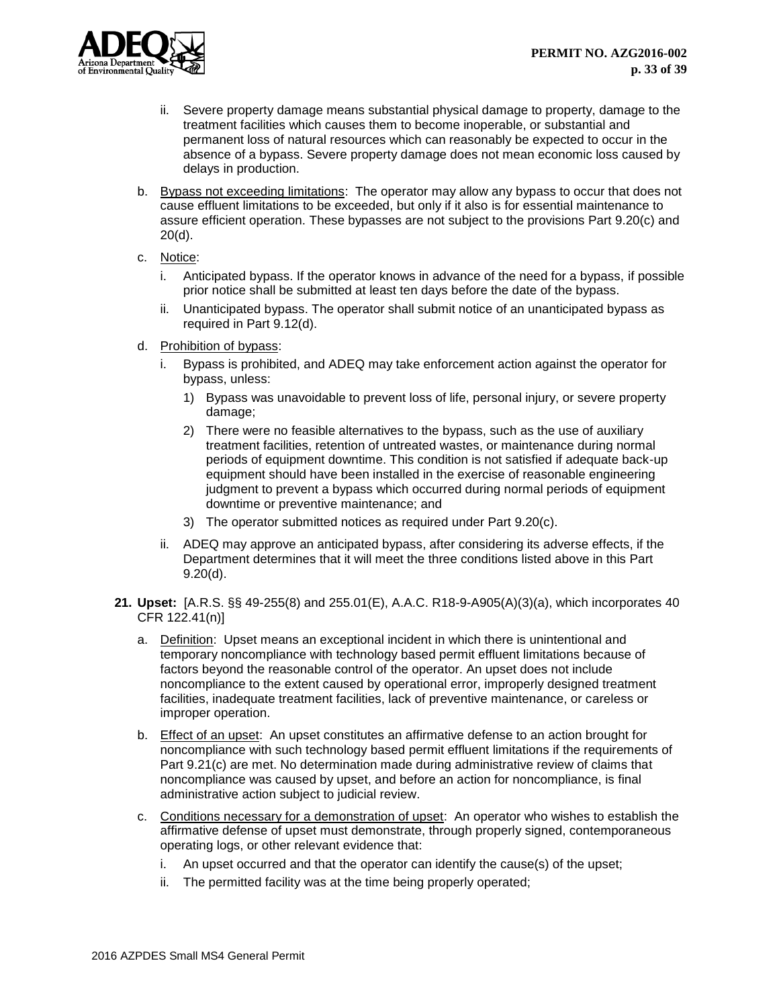

- ii. Severe property damage means substantial physical damage to property, damage to the treatment facilities which causes them to become inoperable, or substantial and permanent loss of natural resources which can reasonably be expected to occur in the absence of a bypass. Severe property damage does not mean economic loss caused by delays in production.
- b. Bypass not exceeding limitations: The operator may allow any bypass to occur that does not cause effluent limitations to be exceeded, but only if it also is for essential maintenance to assure efficient operation. These bypasses are not subject to the provisions Part 9.20(c) and 20(d).
- c. Notice:
	- i. Anticipated bypass. If the operator knows in advance of the need for a bypass, if possible prior notice shall be submitted at least ten days before the date of the bypass.
	- ii. Unanticipated bypass. The operator shall submit notice of an unanticipated bypass as required in Part 9.12(d).
- d. Prohibition of bypass:
	- i. Bypass is prohibited, and ADEQ may take enforcement action against the operator for bypass, unless:
		- 1) Bypass was unavoidable to prevent loss of life, personal injury, or severe property damage;
		- 2) There were no feasible alternatives to the bypass, such as the use of auxiliary treatment facilities, retention of untreated wastes, or maintenance during normal periods of equipment downtime. This condition is not satisfied if adequate back-up equipment should have been installed in the exercise of reasonable engineering judgment to prevent a bypass which occurred during normal periods of equipment downtime or preventive maintenance; and
		- 3) The operator submitted notices as required under Part 9.20(c).
	- ii. ADEQ may approve an anticipated bypass, after considering its adverse effects, if the Department determines that it will meet the three conditions listed above in this Part 9.20(d).
- **21. Upset:** [A.R.S. §§ 49-255(8) and 255.01(E), A.A.C. R18-9-A905(A)(3)(a), which incorporates 40 CFR 122.41(n)]
	- a. Definition: Upset means an exceptional incident in which there is unintentional and temporary noncompliance with technology based permit effluent limitations because of factors beyond the reasonable control of the operator. An upset does not include noncompliance to the extent caused by operational error, improperly designed treatment facilities, inadequate treatment facilities, lack of preventive maintenance, or careless or improper operation.
	- b. Effect of an upset: An upset constitutes an affirmative defense to an action brought for noncompliance with such technology based permit effluent limitations if the requirements of Part 9.21(c) are met. No determination made during administrative review of claims that noncompliance was caused by upset, and before an action for noncompliance, is final administrative action subject to judicial review.
	- c. Conditions necessary for a demonstration of upset: An operator who wishes to establish the affirmative defense of upset must demonstrate, through properly signed, contemporaneous operating logs, or other relevant evidence that:
		- i. An upset occurred and that the operator can identify the cause(s) of the upset;
		- ii. The permitted facility was at the time being properly operated;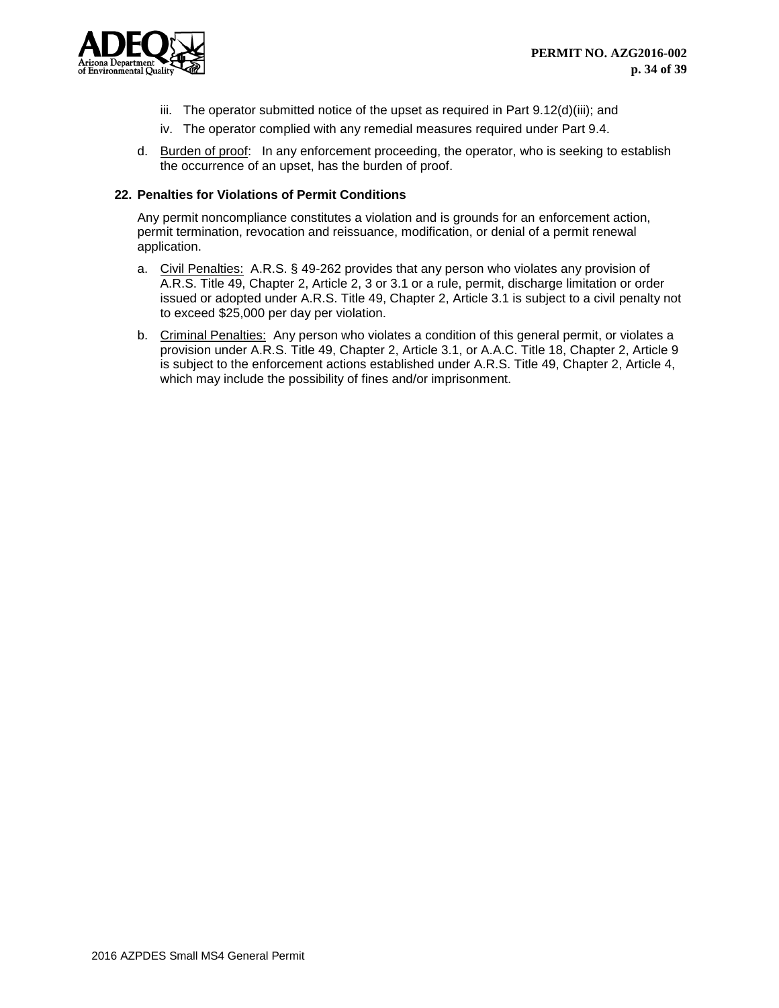

- iii. The operator submitted notice of the upset as required in Part 9.12(d)(iii); and
- iv. The operator complied with any remedial measures required under Part 9.4.
- d. Burden of proof: In any enforcement proceeding, the operator, who is seeking to establish the occurrence of an upset, has the burden of proof.

# **22. Penalties for Violations of Permit Conditions**

Any permit noncompliance constitutes a violation and is grounds for an enforcement action, permit termination, revocation and reissuance, modification, or denial of a permit renewal application.

- a. Civil Penalties: A.R.S. § 49-262 provides that any person who violates any provision of A.R.S. Title 49, Chapter 2, Article 2, 3 or 3.1 or a rule, permit, discharge limitation or order issued or adopted under A.R.S. Title 49, Chapter 2, Article 3.1 is subject to a civil penalty not to exceed \$25,000 per day per violation.
- b. Criminal Penalties: Any person who violates a condition of this general permit, or violates a provision under A.R.S. Title 49, Chapter 2, Article 3.1, or A.A.C. Title 18, Chapter 2, Article 9 is subject to the enforcement actions established under A.R.S. Title 49, Chapter 2, Article 4, which may include the possibility of fines and/or imprisonment.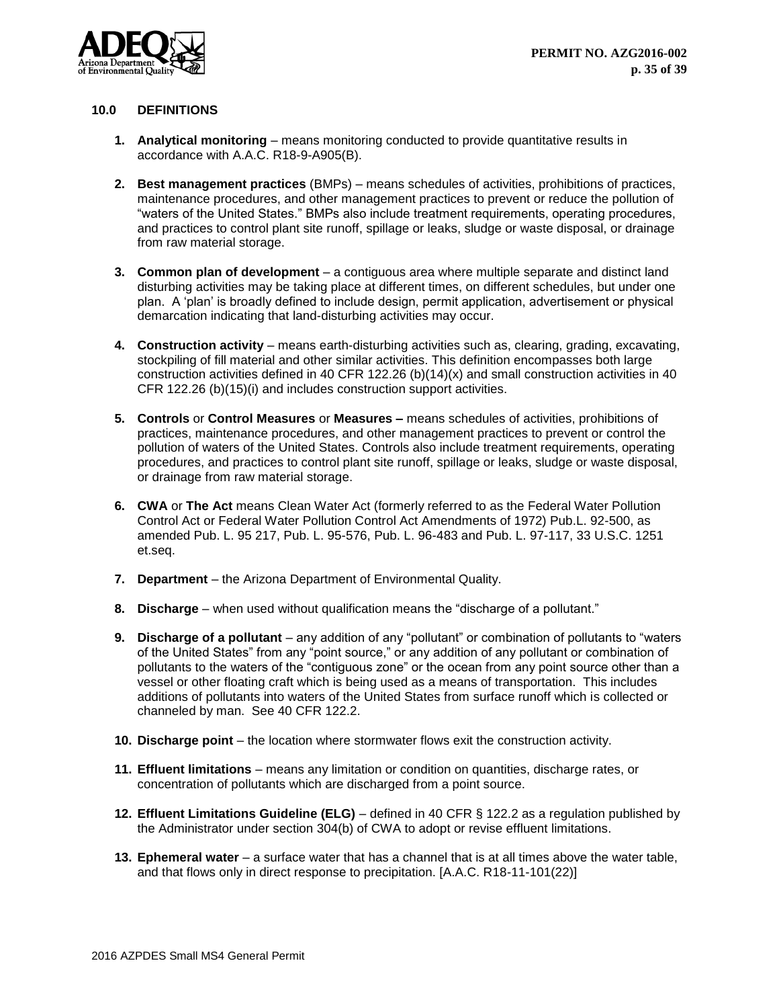

## <span id="page-35-0"></span>**10.0 DEFINITIONS**

- **1. Analytical monitoring** means monitoring conducted to provide quantitative results in accordance with A.A.C. R18-9-A905(B).
- **2. Best management practices** (BMPs) means schedules of activities, prohibitions of practices, maintenance procedures, and other management practices to prevent or reduce the pollution of "waters of the United States." BMPs also include treatment requirements, operating procedures, and practices to control plant site runoff, spillage or leaks, sludge or waste disposal, or drainage from raw material storage.
- **3. Common plan of development** a contiguous area where multiple separate and distinct land disturbing activities may be taking place at different times, on different schedules, but under one plan. A 'plan' is broadly defined to include design, permit application, advertisement or physical demarcation indicating that land-disturbing activities may occur.
- **4. Construction activity** means earth-disturbing activities such as, clearing, grading, excavating, stockpiling of fill material and other similar activities. This definition encompasses both large construction activities defined in 40 CFR 122.26 (b)(14)(x) and small construction activities in 40 CFR 122.26 (b)(15)(i) and includes construction support activities.
- **5. Controls** or **Control Measures** or **Measures –** means schedules of activities, prohibitions of practices, maintenance procedures, and other management practices to prevent or control the pollution of waters of the United States. Controls also include treatment requirements, operating procedures, and practices to control plant site runoff, spillage or leaks, sludge or waste disposal, or drainage from raw material storage.
- **6. CWA** or **The Act** means Clean Water Act (formerly referred to as the Federal Water Pollution Control Act or Federal Water Pollution Control Act Amendments of 1972) Pub.L. 92-500, as amended Pub. L. 95 217, Pub. L. 95-576, Pub. L. 96-483 and Pub. L. 97-117, 33 U.S.C. 1251 et.seq.
- **7. Department**  the Arizona Department of Environmental Quality.
- **8. Discharge** when used without qualification means the "discharge of a pollutant."
- **9. Discharge of a pollutant** any addition of any "pollutant" or combination of pollutants to "waters of the United States" from any "point source," or any addition of any pollutant or combination of pollutants to the waters of the "contiguous zone" or the ocean from any point source other than a vessel or other floating craft which is being used as a means of transportation. This includes additions of pollutants into waters of the United States from surface runoff which is collected or channeled by man. See 40 CFR 122.2.
- **10. Discharge point** the location where stormwater flows exit the construction activity.
- **11. Effluent limitations** means any limitation or condition on quantities, discharge rates, or concentration of pollutants which are discharged from a point source.
- **12. Effluent Limitations Guideline (ELG)** defined in 40 CFR § 122.2 as a regulation published by the Administrator under section 304(b) of CWA to adopt or revise effluent limitations.
- **13. Ephemeral water** a surface water that has a channel that is at all times above the water table, and that flows only in direct response to precipitation. [A.A.C. R18-11-101(22)]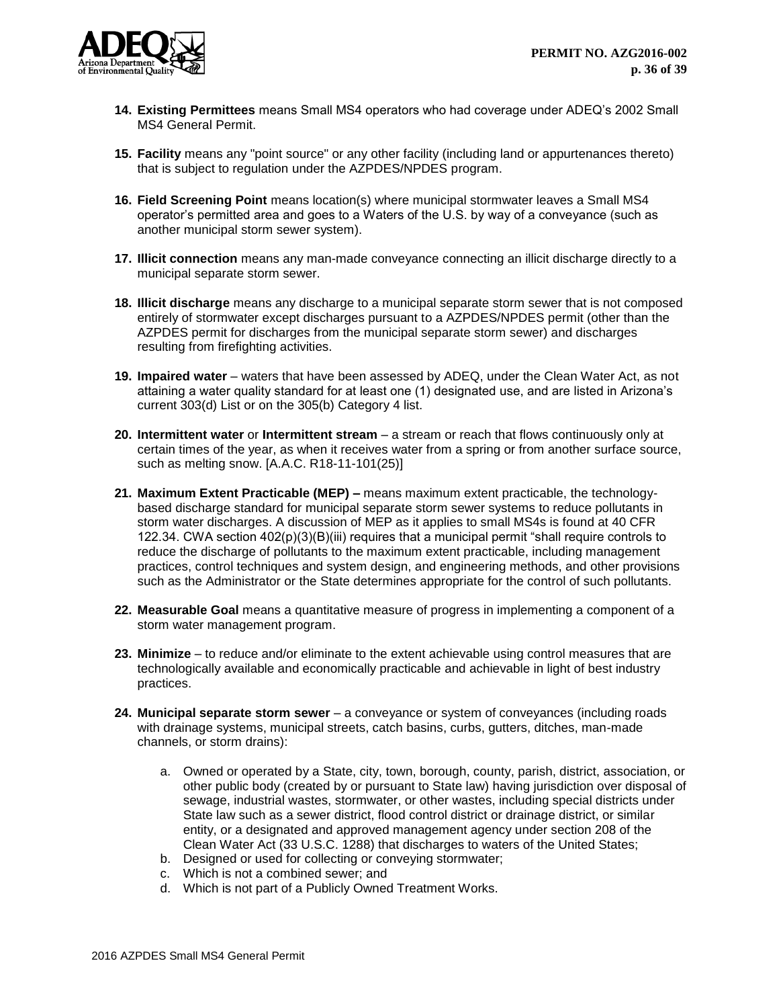

- **14. Existing Permittees** means Small MS4 operators who had coverage under ADEQ's 2002 Small MS4 General Permit.
- **15. Facility** means any "point source" or any other facility (including land or appurtenances thereto) that is subject to regulation under the AZPDES/NPDES program.
- **16. Field Screening Point** means location(s) where municipal stormwater leaves a Small MS4 operator's permitted area and goes to a Waters of the U.S. by way of a conveyance (such as another municipal storm sewer system).
- **17. Illicit connection** means any man-made conveyance connecting an illicit discharge directly to a municipal separate storm sewer.
- **18. Illicit discharge** means any discharge to a municipal separate storm sewer that is not composed entirely of stormwater except discharges pursuant to a AZPDES/NPDES permit (other than the AZPDES permit for discharges from the municipal separate storm sewer) and discharges resulting from firefighting activities.
- **19. Impaired water** waters that have been assessed by ADEQ, under the Clean Water Act, as not attaining a water quality standard for at least one (1) designated use, and are listed in Arizona's current 303(d) List or on the 305(b) Category 4 list.
- **20. Intermittent water** or **Intermittent stream** a stream or reach that flows continuously only at certain times of the year, as when it receives water from a spring or from another surface source, such as melting snow. [A.A.C. R18-11-101(25)]
- **21. Maximum Extent Practicable (MEP) –** means maximum extent practicable, the technologybased discharge standard for municipal separate storm sewer systems to reduce pollutants in storm water discharges. A discussion of MEP as it applies to small MS4s is found at 40 CFR 122.34. CWA section 402(p)(3)(B)(iii) requires that a municipal permit "shall require controls to reduce the discharge of pollutants to the maximum extent practicable, including management practices, control techniques and system design, and engineering methods, and other provisions such as the Administrator or the State determines appropriate for the control of such pollutants.
- **22. Measurable Goal** means a quantitative measure of progress in implementing a component of a storm water management program.
- **23. Minimize** to reduce and/or eliminate to the extent achievable using control measures that are technologically available and economically practicable and achievable in light of best industry practices.
- **24. Municipal separate storm sewer** a conveyance or system of conveyances (including roads with drainage systems, municipal streets, catch basins, curbs, gutters, ditches, man-made channels, or storm drains):
	- a. Owned or operated by a State, city, town, borough, county, parish, district, association, or other public body (created by or pursuant to State law) having jurisdiction over disposal of sewage, industrial wastes, stormwater, or other wastes, including special districts under State law such as a sewer district, flood control district or drainage district, or similar entity, or a designated and approved management agency under section 208 of the Clean Water Act (33 U.S.C. 1288) that discharges to waters of the United States;
	- b. Designed or used for collecting or conveying stormwater;
	- c. Which is not a combined sewer; and
	- d. Which is not part of a Publicly Owned Treatment Works.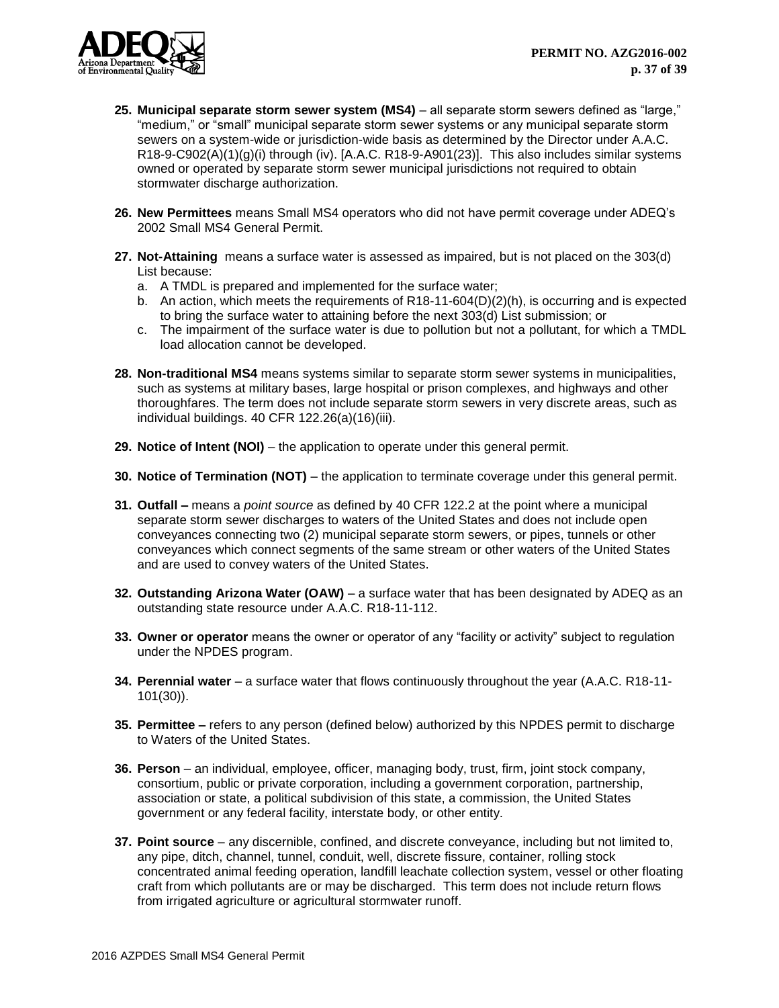

- **25. Municipal separate storm sewer system (MS4)** all separate storm sewers defined as "large," "medium," or "small" municipal separate storm sewer systems or any municipal separate storm sewers on a system-wide or jurisdiction-wide basis as determined by the Director under A.A.C. R18-9-C902(A)(1)(g)(i) through (iv). [A.A.C. R18-9-A901(23)]. This also includes similar systems owned or operated by separate storm sewer municipal jurisdictions not required to obtain stormwater discharge authorization.
- **26. New Permittees** means Small MS4 operators who did not have permit coverage under ADEQ's 2002 Small MS4 General Permit.
- **27. Not-Attaining** means a surface water is assessed as impaired, but is not placed on the 303(d) List because:
	- a. A TMDL is prepared and implemented for the surface water;
	- b. An action, which meets the requirements of R18-11-604(D)(2)(h), is occurring and is expected to bring the surface water to attaining before the next 303(d) List submission; or
	- c. The impairment of the surface water is due to pollution but not a pollutant, for which a TMDL load allocation cannot be developed.
- **28. Non-traditional MS4** means systems similar to separate storm sewer systems in municipalities, such as systems at military bases, large hospital or prison complexes, and highways and other thoroughfares. The term does not include separate storm sewers in very discrete areas, such as individual buildings. 40 CFR 122.26(a)(16)(iii).
- **29. Notice of Intent (NOI)** the application to operate under this general permit.
- **30. Notice of Termination (NOT)** the application to terminate coverage under this general permit.
- **31. Outfall –** means a *point source* as defined by 40 CFR 122.2 at the point where a municipal separate storm sewer discharges to waters of the United States and does not include open conveyances connecting two (2) municipal separate storm sewers, or pipes, tunnels or other conveyances which connect segments of the same stream or other waters of the United States and are used to convey waters of the United States.
- **32. Outstanding Arizona Water (OAW)** a surface water that has been designated by ADEQ as an outstanding state resource under A.A.C. R18-11-112.
- **33. Owner or operator** means the owner or operator of any "facility or activity" subject to regulation under the NPDES program.
- **34. Perennial water** a surface water that flows continuously throughout the year (A.A.C. R18-11- 101(30)).
- **35. Permittee –** refers to any person (defined below) authorized by this NPDES permit to discharge to Waters of the United States.
- **36. Person** an individual, employee, officer, managing body, trust, firm, joint stock company, consortium, public or private corporation, including a government corporation, partnership, association or state, a political subdivision of this state, a commission, the United States government or any federal facility, interstate body, or other entity.
- **37. Point source** any discernible, confined, and discrete conveyance, including but not limited to, any pipe, ditch, channel, tunnel, conduit, well, discrete fissure, container, rolling stock concentrated animal feeding operation, landfill leachate collection system, vessel or other floating craft from which pollutants are or may be discharged. This term does not include return flows from irrigated agriculture or agricultural stormwater runoff.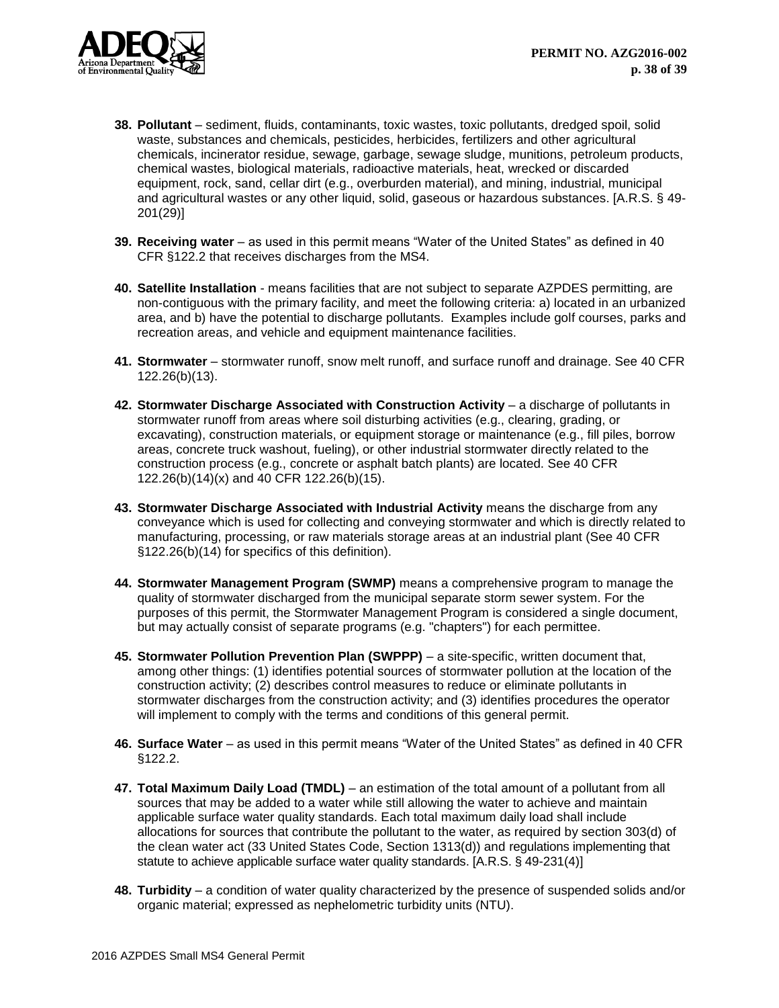

- **38. Pollutant** sediment, fluids, contaminants, toxic wastes, toxic pollutants, dredged spoil, solid waste, substances and chemicals, pesticides, herbicides, fertilizers and other agricultural chemicals, incinerator residue, sewage, garbage, sewage sludge, munitions, petroleum products, chemical wastes, biological materials, radioactive materials, heat, wrecked or discarded equipment, rock, sand, cellar dirt (e.g., overburden material), and mining, industrial, municipal and agricultural wastes or any other liquid, solid, gaseous or hazardous substances. [A.R.S. § 49- 201(29)]
- **39. Receiving water** as used in this permit means "Water of the United States" as defined in 40 CFR §122.2 that receives discharges from the MS4.
- **40. Satellite Installation** means facilities that are not subject to separate AZPDES permitting, are non-contiguous with the primary facility, and meet the following criteria: a) located in an urbanized area, and b) have the potential to discharge pollutants. Examples include golf courses, parks and recreation areas, and vehicle and equipment maintenance facilities.
- **41. Stormwater** stormwater runoff, snow melt runoff, and surface runoff and drainage. See 40 CFR 122.26(b)(13).
- **42. Stormwater Discharge Associated with Construction Activity** a discharge of pollutants in stormwater runoff from areas where soil disturbing activities (e.g., clearing, grading, or excavating), construction materials, or equipment storage or maintenance (e.g., fill piles, borrow areas, concrete truck washout, fueling), or other industrial stormwater directly related to the construction process (e.g., concrete or asphalt batch plants) are located. See 40 CFR 122.26(b)(14)(x) and 40 CFR 122.26(b)(15).
- **43. Stormwater Discharge Associated with Industrial Activity** means the discharge from any conveyance which is used for collecting and conveying stormwater and which is directly related to manufacturing, processing, or raw materials storage areas at an industrial plant (See 40 CFR §122.26(b)(14) for specifics of this definition).
- **44. Stormwater Management Program (SWMP)** means a comprehensive program to manage the quality of stormwater discharged from the municipal separate storm sewer system. For the purposes of this permit, the Stormwater Management Program is considered a single document, but may actually consist of separate programs (e.g. "chapters") for each permittee.
- **45. Stormwater Pollution Prevention Plan (SWPPP)** a site-specific, written document that, among other things: (1) identifies potential sources of stormwater pollution at the location of the construction activity; (2) describes control measures to reduce or eliminate pollutants in stormwater discharges from the construction activity; and (3) identifies procedures the operator will implement to comply with the terms and conditions of this general permit.
- **46. Surface Water** as used in this permit means "Water of the United States" as defined in 40 CFR §122.2.
- **47. Total Maximum Daily Load (TMDL)** an estimation of the total amount of a pollutant from all sources that may be added to a water while still allowing the water to achieve and maintain applicable surface water quality standards. Each total maximum daily load shall include allocations for sources that contribute the pollutant to the water, as required by section 303(d) of the clean water act (33 United States Code, Section 1313(d)) and regulations implementing that statute to achieve applicable surface water quality standards. [A.R.S. § 49-231(4)]
- **48. Turbidity** a condition of water quality characterized by the presence of suspended solids and/or organic material; expressed as nephelometric turbidity units (NTU).